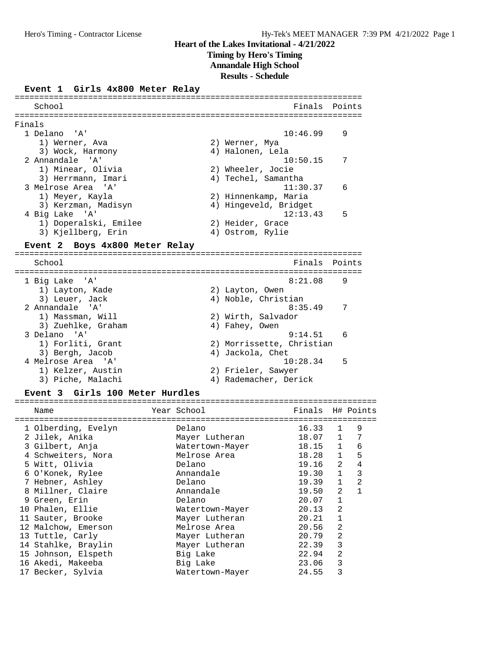**Timing by Hero's Timing**

**Annandale High School**

**Results - Schedule**

### **Event 1 Girls 4x800 Meter Relay**

School **Finals** Points **Points** ======================================================================= Finals 1 Delano 'A' 10:46.99 9 1) Werner, Ava 2) Werner, Mya 3) Wock, Harmony 4) Halonen, Lela 2 Annandale 'A' 10:50.15 7 1) Minear, Olivia 2) Wheeler, Jocie 3) Herrmann, Imari (4) Techel, Samantha 3 Melrose Area 'A' 11:30.37 6 1) Meyer, Kayla 2) Hinnenkamp, Maria 3) Kerzman, Madisyn 4) Hingeveld, Bridget 4 Big Lake 'A' 12:13.43 5 1) Doperalski, Emilee 2) Heider, Grace 3) Kjellberg, Erin (4) Ostrom, Rylie **Event 2 Boys 4x800 Meter Relay** ======================================================================= School **Finals Points** ======================================================================= 1 Big Lake 'A' 8:21.08 9 1) Layton, Kade 2) Layton, Owen<br>
3) Leuer, Jack 2, 2, Noble, Christ 4) Noble, Christian 2 Annandale 'A' 8:35.49 7 1) Massman, Will 2) Wirth, Salvador<br>3) Zuehlke, Graham 20 (4) Fahey, Owen 3) Zuehlke, Graham 3 Delano 'A' 9:14.51 6 1) Forliti, Grant 2) Morrissette, Christian 3) Bergh, Jacob 4) Jackola, Chet 4 Melrose Area 'A' 10:28.34 5 1) Kelzer, Austin 2) Frieler, Sawyer 3) Piche, Malachi 4) Rademacher, Derick **Event 3 Girls 100 Meter Hurdles** ==========================================================================

=======================================================================

| Name                | Year School     | Finals H# Points |                |   |
|---------------------|-----------------|------------------|----------------|---|
| 1 Olberding, Evelyn | Delano          | 16.33            | 1              | 9 |
| 2 Jilek, Anika      | Mayer Lutheran  | 18.07            | $\mathbf{1}$   | 7 |
| 3 Gilbert, Anja     | Watertown-Mayer | 18.15            | $\mathbf{1}$   | 6 |
| 4 Schweiters, Nora  | Melrose Area    | 18.28            | $\mathbf{1}$   | 5 |
| 5 Witt, Olivia      | Delano          | 19.16            | $\overline{2}$ | 4 |
| 6 O'Konek, Rylee    | Annandale       | 19.30            | $\mathbf{1}$   | 3 |
| 7 Hebner, Ashley    | Delano          | 19.39            | $\mathbf{1}$   | 2 |
| 8 Millner, Claire   | Annandale       | 19.50            | $\mathcal{L}$  | 1 |
| 9 Green, Erin       | Delano          | 20.07            | $\mathbf{1}$   |   |
| 10 Phalen, Ellie    | Watertown-Mayer | 20.13            | 2              |   |
| 11 Sauter, Brooke   | Mayer Lutheran  | 20.21            | $\mathbf{1}$   |   |
| 12 Malchow, Emerson | Melrose Area    | 20.56            | 2              |   |
| 13 Tuttle, Carly    | Mayer Lutheran  | 20.79            | 2              |   |
| 14 Stahlke, Braylin | Mayer Lutheran  | 22.39            | 3              |   |
| 15 Johnson, Elspeth | Big Lake        | 22.94            | 2              |   |
| 16 Akedi, Makeeba   | Big Lake        | 23.06            | 3              |   |
| 17 Becker, Sylvia   | Watertown-Mayer | 24.55            | 3              |   |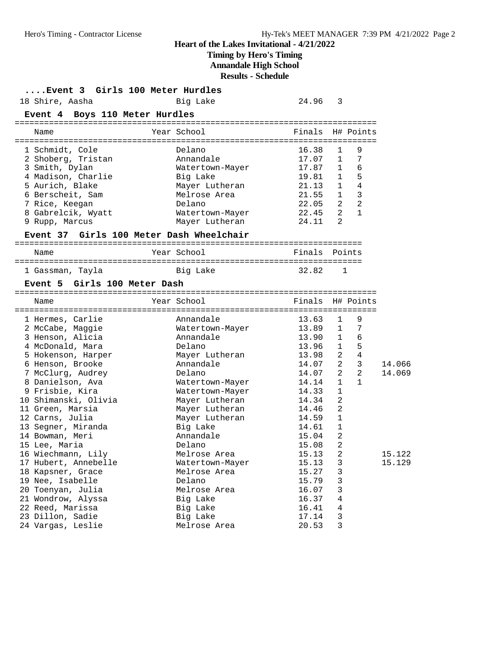## **Timing by Hero's Timing**

**Annandale High School**

**Results - Schedule**

| Event 3 Girls 100 Meter Hurdles          |                 |        |                                |        |
|------------------------------------------|-----------------|--------|--------------------------------|--------|
| 18 Shire, Aasha                          | Big Lake        | 24.96  | 3                              |        |
| Event 4 Boys 110 Meter Hurdles           |                 |        |                                |        |
| Name                                     | Year School     | Finals | H# Points                      |        |
| 1 Schmidt, Cole                          | Delano          | 16.38  | 9<br>$\mathbf{1}$              |        |
| 2 Shoberg, Tristan                       | Annandale       | 17.07  | 7<br>1                         |        |
| 3 Smith, Dylan                           | Watertown-Mayer | 17.87  | 6<br>$\mathbf{1}$              |        |
| 4 Madison, Charlie                       | Big Lake        | 19.81  | 5<br>1                         |        |
| 5 Aurich, Blake                          | Mayer Lutheran  | 21.13  | $\overline{4}$<br>1            |        |
| 6 Berscheit, Sam                         | Melrose Area    | 21.55  | $\overline{3}$<br>$\mathbf{1}$ |        |
| 7 Rice, Keegan                           | Delano          | 22.05  | 2<br>$\overline{2}$            |        |
| 8 Gabrelcik, Wyatt                       | Watertown-Mayer | 22.45  | $\overline{2}$<br>$\mathbf{1}$ |        |
| 9 Rupp, Marcus                           | Mayer Lutheran  | 24.11  | 2                              |        |
| Event 37 Girls 100 Meter Dash Wheelchair |                 |        |                                |        |
| Name                                     | Year School     |        | Finals Points                  |        |
| 1 Gassman, Tayla                         | Big Lake        | 32.82  | 1                              |        |
| Event 5 Girls 100 Meter Dash             |                 |        |                                |        |
| Name                                     | Year School     |        | Finals H# Points               |        |
| 1 Hermes, Carlie                         | Annandale       | 13.63  | 9<br>1                         |        |
| 2 McCabe, Maggie                         | Watertown-Mayer | 13.89  | 7<br>$\mathbf{1}$              |        |
| 3 Henson, Alicia                         | Annandale       | 13.90  | 6<br>1                         |        |
| 4 McDonald, Mara                         | Delano          | 13.96  | 5<br>$\mathbf{1}$              |        |
| 5 Hokenson, Harper                       | Mayer Lutheran  | 13.98  | $\overline{4}$<br>2            |        |
| 6 Henson, Brooke                         | Annandale       | 14.07  | 3<br>$\overline{a}$            | 14.066 |
| 7 McClurg, Audrey                        | Delano          | 14.07  | 2<br>2                         | 14.069 |
| 8 Danielson, Ava                         | Watertown-Mayer | 14.14  | 1<br>$\mathbf{1}$              |        |
| 9 Frisbie, Kira                          | Watertown-Mayer | 14.33  | 1                              |        |
| 10 Shimanski, Olivia                     | Mayer Lutheran  | 14.34  | 2                              |        |
| 11 Green, Marsia                         | Mayer Lutheran  | 14.46  | 2                              |        |
| 12 Carns, Julia                          | Mayer Lutheran  | 14.59  | 1                              |        |
| 13 Segner, Miranda                       | Big Lake        | 14.61  | 1                              |        |
| 14 Bowman, Meri                          | Annandale       | 15.04  | 2                              |        |
| 15 Lee, Maria                            | Delano          | 15.08  | $\overline{2}$                 |        |
| 16 Wiechmann, Lily                       | Melrose Area    | 15.13  | $\sqrt{2}$                     | 15.122 |
| 17 Hubert, Annebelle                     | Watertown-Mayer | 15.13  | 3                              | 15.129 |
| 18 Kapsner, Grace                        | Melrose Area    | 15.27  | $\mathbf{3}$                   |        |
| 19 Nee, Isabelle                         | Delano          | 15.79  | 3                              |        |
| 20 Toenyan, Julia                        | Melrose Area    | 16.07  | 3                              |        |
| 21 Wondrow, Alyssa                       | Big Lake        | 16.37  | $\overline{4}$                 |        |
| 22 Reed, Marissa                         | Big Lake        | 16.41  | $\,4$                          |        |
| 23 Dillon, Sadie                         | Big Lake        | 17.14  | $\mathbf{3}$                   |        |
| 24 Vargas, Leslie                        | Melrose Area    | 20.53  | 3                              |        |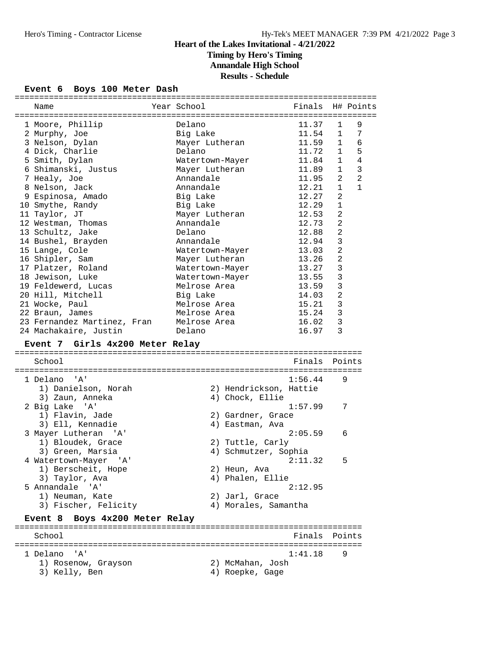**Timing by Hero's Timing**

**Annandale High School**

**Results - Schedule**

### **Event 6 Boys 100 Meter Dash**

| Name                                            | Year School                 |                                          | Finals H# Points                  |                              |                     |
|-------------------------------------------------|-----------------------------|------------------------------------------|-----------------------------------|------------------------------|---------------------|
|                                                 |                             |                                          |                                   |                              |                     |
| 1 Moore, Phillip                                | Delano                      |                                          | 11.37                             | 1                            | 9                   |
| 2 Murphy, Joe                                   | Big Lake                    |                                          | 11.54                             | $\mathbf{1}$                 | 7                   |
| 3 Nelson, Dylan                                 | Mayer Lutheran              |                                          | 11.59                             | $\mathbf{1}$                 | 6                   |
| 4 Dick, Charlie                                 | Delano                      |                                          | 11.72                             | $\mathbf{1}$<br>$\mathbf{1}$ | 5<br>$\overline{4}$ |
| 5 Smith, Dylan                                  | Watertown-Mayer             |                                          | 11.84                             |                              |                     |
| 6 Shimanski, Justus                             | Mayer Lutheran<br>Annandale |                                          | 11.89                             | $\mathbf{1}$<br>2            | $\overline{3}$<br>2 |
| 7 Healy, Joe<br>8 Nelson, Jack                  | Annandale                   |                                          | 11.95<br>12.21                    | $\mathbf{1}$                 | $\mathbf{1}$        |
| 9 Espinosa, Amado                               | Big Lake                    |                                          | 12.27                             | 2                            |                     |
| 10 Smythe, Randy                                | Big Lake                    |                                          | 12.29                             | $\mathbf{1}$                 |                     |
| 11 Taylor, JT                                   | Mayer Lutheran              |                                          | 12.53                             | 2                            |                     |
| 12 Westman, Thomas                              | Annandale                   |                                          | 12.73                             | $\overline{a}$               |                     |
| 13 Schultz, Jake                                | Delano                      |                                          | 12.88                             | 2                            |                     |
| 14 Bushel, Brayden                              | Annandale                   |                                          | 12.94                             | 3                            |                     |
| 15 Lange, Cole                                  | Watertown-Mayer             |                                          | 13.03                             | $\overline{2}$               |                     |
| 16 Shipler, Sam                                 | Mayer Lutheran              |                                          | 13.26                             | $\overline{a}$               |                     |
| 17 Platzer, Roland                              | Watertown-Mayer             |                                          | 13.27                             | $\mathbf{3}$                 |                     |
| 18 Jewison, Luke                                | Watertown-Mayer             |                                          | 13.55                             | $\mathbf{3}$                 |                     |
| 19 Feldewerd, Lucas                             | Melrose Area                |                                          | 13.59                             | $\mathsf 3$                  |                     |
| 20 Hill, Mitchell                               | Big Lake                    |                                          | 14.03                             | $\overline{2}$               |                     |
| 21 Wocke, Paul                                  | Melrose Area                |                                          | 15.21                             | 3                            |                     |
| 22 Braun, James                                 | Melrose Area                |                                          | 15.24                             | 3                            |                     |
| 23 Fernandez Martinez, Fran                     | Melrose Area                |                                          | 16.02                             | 3                            |                     |
| 24 Machakaire, Justin                           | Delano                      |                                          | 16.97                             | 3                            |                     |
|                                                 |                             |                                          |                                   |                              |                     |
| Event 7 Girls 4x200 Meter Relay                 |                             |                                          |                                   |                              |                     |
|                                                 |                             |                                          |                                   |                              |                     |
| School                                          |                             |                                          | Finals Points                     |                              |                     |
| ' A'                                            |                             |                                          |                                   | 9                            |                     |
| 1 Delano<br>1) Danielson, Norah                 |                             |                                          | 1:56.44<br>2) Hendrickson, Hattie |                              |                     |
|                                                 |                             | 4) Chock, Ellie                          |                                   |                              |                     |
| 3) Zaun, Anneka                                 |                             |                                          | 1:57.99                           |                              | 7                   |
| 2 Big Lake 'A'<br>1) Flavin, Jade               |                             | 2) Gardner, Grace                        |                                   |                              |                     |
| 3) Ell, Kennadie                                |                             | 4) Eastman, Ava                          |                                   |                              |                     |
|                                                 |                             |                                          | 2:05.59                           | 6                            |                     |
| 3 Mayer Lutheran<br>' 'A '<br>1) Bloudek, Grace |                             |                                          |                                   |                              |                     |
| 3) Green, Marsia                                |                             | 2) Tuttle, Carly<br>4) Schmutzer, Sophia |                                   |                              |                     |
|                                                 |                             |                                          | 2:11.32                           | 5                            |                     |
| 4 Watertown-Mayer 'A'<br>1) Berscheit, Hope     |                             | 2) Heun, Ava                             |                                   |                              |                     |
| 3) Taylor, Ava                                  |                             | 4) Phalen, Ellie                         |                                   |                              |                     |
| 5 Annandale 'A'                                 |                             |                                          | 2:12.95                           |                              |                     |
| 1) Neuman, Kate                                 |                             | 2) Jarl, Grace                           |                                   |                              |                     |
|                                                 |                             |                                          |                                   |                              |                     |
| 3) Fischer, Felicity                            |                             | 4) Morales, Samantha                     |                                   |                              |                     |
|                                                 |                             |                                          |                                   |                              |                     |
| Boys 4x200 Meter Relay<br>Event 8               |                             |                                          |                                   |                              |                     |
| School                                          |                             |                                          | Finals                            |                              | Points              |
|                                                 |                             |                                          |                                   |                              |                     |
| 1 Delano 'A'                                    |                             |                                          | 1:41.18                           | 9                            |                     |
| 1) Rosenow, Grayson<br>3) Kelly, Ben            |                             | 2) McMahan, Josh<br>4) Roepke, Gage      |                                   |                              |                     |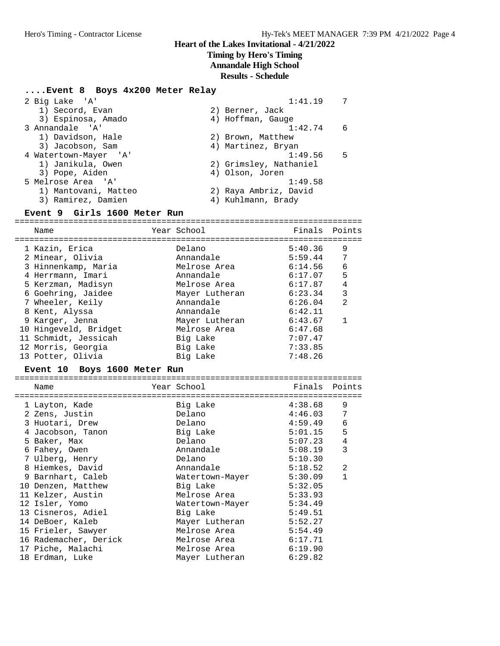### **Timing by Hero's Timing**

**Annandale High School**

**Results - Schedule**

### **....Event 8 Boys 4x200 Meter Relay**

| 2 Big Lake 'A'               | 1:41.19                | 7   |
|------------------------------|------------------------|-----|
| 1) Secord, Evan              | 2) Berner, Jack        |     |
| 3) Espinosa, Amado           | 4) Hoffman, Gauge      |     |
| 3 Annandale 'A'              | 1:42.74                | - 6 |
| 1) Davidson, Hale            | 2) Brown, Matthew      |     |
| 3) Jacobson, Sam             | 4) Martinez, Bryan     |     |
| 4 Watertown-Mayer 'A'        | 1:49.56                | .5  |
| 1) Janikula, Owen            | 2) Grimsley, Nathaniel |     |
| 3) Pope, Aiden               | 4) Olson, Joren        |     |
| 5 Melrose Area 'A'           | 1:49.58                |     |
| 1) Mantovani, Matteo         | 2) Raya Ambriz, David  |     |
| 3) Ramirez, Damien           | 4) Kuhlmann, Brady     |     |
| Event 9 Cirls 1600 Meter Run |                        |     |

#### **Event 9 Girls 1600 Meter Run**

======================================================================= Name **Year School Finals Points** ======================================================================= 1 Kazin, Erica Delano 5:40.36 9 2 Minear, Olivia Annandale 5:59.44 7 3 Hinnenkamp, Maria Melrose Area 6:14.56 6 4 Herrmann, Imari Annandale 6:17.07 5 5 Kerzman, Madisyn Melrose Area 6:17.87 4 6 Goehring, Jaidee Mayer Lutheran 6:23.34 3 7 Wheeler, Keily Annandale 6:26.04 2 8 Kent, Alyssa Annandale 6:42.11 9 Karger, Jenna Mayer Lutheran 6:43.67 1 10 Hingeveld, Bridget Melrose Area 6:47.68 11 Schmidt, Jessicah Big Lake 7:07.47 12 Morris, Georgia Big Lake 7:33.85 13 Potter, Olivia Big Lake 7:48.26

#### **Event 10 Boys 1600 Meter Run**

| Name                  | Year School <b>Sandware</b> | Finals Points |   |
|-----------------------|-----------------------------|---------------|---|
| 1 Layton, Kade        | Big Lake                    | 4:38.68       | 9 |
| 2 Zens, Justin        | Delano                      | 4:46.03       | 7 |
| 3 Huotari, Drew       | Delano                      | 4:59.49       | 6 |
| 4 Jacobson, Tanon     | Big Lake                    | 5:01.15       | 5 |
| 5 Baker, Max          | Delano                      | 5:07.23       | 4 |
| 6 Fahey, Owen         | Annandale                   | 5:08.19       | 3 |
| 7 Ulberg, Henry       | Delano                      | 5:10.30       |   |
| 8 Hiemkes, David      | Annandale                   | 5:18.52       | 2 |
| 9 Barnhart, Caleb     | Watertown-Mayer             | 5:30.09       | 1 |
| 10 Denzen, Matthew    | Big Lake                    | 5:32.05       |   |
| 11 Kelzer, Austin     | Melrose Area                | 5:33.93       |   |
| 12 Isler, Yomo        | Watertown-Mayer             | 5:34.49       |   |
| 13 Cisneros, Adiel    | Big Lake                    | 5:49.51       |   |
| 14 DeBoer, Kaleb      | Mayer Lutheran              | 5:52.27       |   |
| 15 Frieler, Sawyer    | Melrose Area                | 5:54.49       |   |
| 16 Rademacher, Derick | Melrose Area                | 6:17.71       |   |
| 17 Piche, Malachi     | Melrose Area                | 6:19.90       |   |
| 18 Erdman, Luke       | Mayer Lutheran              | 6:29.82       |   |
|                       |                             |               |   |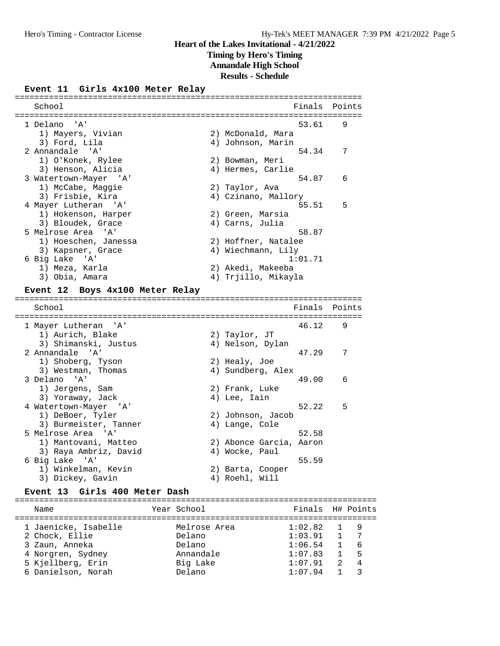**Timing by Hero's Timing**

**Annandale High School**

**Results - Schedule**

### **Event 11 Girls 4x100 Meter Relay**

======================================================================= School **Finals** Points **Points** ======================================================================= 1 Delano 'A' 53.61 9<br>1) Mayers, Vivian 2) McDonald, Mara 1) Mayers, Vivian 2) McDonald, Mara 3) Ford, Lila (1999) (1999) 4) Johnson, Marin 2 Annandale 'A' 54.34 7 1) O'Konek, Rylee 2) Bowman, Meri 3) Henson, Alicia 4) Hermes, Carlie 3 Watertown-Mayer 'A' 54.87 6 1) McCabe, Maggie 2) Taylor, Ava 3) Frisbie, Kira 4) Czinano, Mallory 4 Mayer Lutheran 'A' 55.51 5 1) Hokenson, Harper (2) Green, Marsia 3) Bloudek, Grace 4) Carns, Julia 5 Melrose Area 'A' 58.87 1) Hoeschen, Janessa 2) Hoffner, Natalee 3) Kapsner, Grace 4) Wiechmann, Lily 6 Big Lake 'A' 1:01.71 1) Meza, Karla 2) Akedi, Makeeba 3) Obia, Amara (4) Trjillo, Mikayla **Event 12 Boys 4x100 Meter Relay** ======================================================================= School **Finals Points** ======================================================================= 1 Mayer Lutheran 'A' 46.12 9 1) Aurich, Blake 2) Taylor, JT 3) Shimanski, Justus (4) Nelson, Dylan 2 Annandale 'A' 47.29 7 1) Shoberg, Tyson 2) Healy, Joe 3) Westman, Thomas (4) Sundberg, Alex 3 Delano 'A' 49.00 6 1) Jergens, Sam and 2) Frank, Luke 1) Jergens, Sam (2) Frank, Luke<br>
3) Yoraway, Jack (4) Lee, Iain<br>
4) Matertown-Mayer (2) (2) Johnson, Jaco<br>
1) DeBoer, Tyler (2) Johnson, Jaco 4 Watertown-Mayer 'A' 52.22 5 1) DeBoer, Tyler (2) Johnson, Jacob 3) Burmeister, Tanner (4) Lange, Cole 5 Melrose Area 'A' 52.58 1) Mantovani, Matteo 2) Abonce Garcia, Aaron 3) Raya Ambriz, David (4) Wocke, Paul 6 Big Lake 'A' 55.59 1) Winkelman, Kevin (2) Barta, Cooper 3) Dickey, Gavin (4) Roehl, Will

### **Event 13 Girls 400 Meter Dash**

| Name                 | Year School  | Finals H# Points |                |                |
|----------------------|--------------|------------------|----------------|----------------|
| 1 Jaenicke, Isabelle | Melrose Area | $1:02.82$ 1      |                | a q            |
| 2 Chock, Ellie       | Delano       | 1:03.91          | $\sqrt{1}$     | 7              |
| 3 Zaun, Anneka       | Delano       | 1:06.54          | $\overline{1}$ | - 6            |
| 4 Norgren, Sydney    | Annandale    | 1:07.83          |                | $1 \quad 5$    |
| 5 Kjellberg, Erin    | Big Lake     | 1:07.91          | $\overline{2}$ | $\overline{4}$ |
| 6 Danielson, Norah   | Delano       | 1:07.94          |                |                |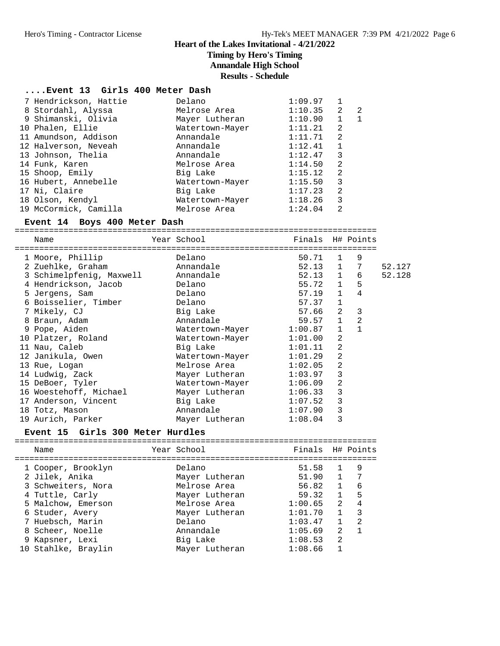## **Timing by Hero's Timing**

**Annandale High School**

**Results - Schedule**

### **....Event 13 Girls 400 Meter Dash**

| 7 Hendrickson, Hattie | Delano          | 1:09.97 |              |    |
|-----------------------|-----------------|---------|--------------|----|
| 8 Stordahl, Alyssa    | Melrose Area    | 1:10.35 | 2            | -2 |
| 9 Shimanski, Olivia   | Mayer Lutheran  | 1:10.90 | $\mathbf{1}$ | -1 |
| 10 Phalen, Ellie      | Watertown-Mayer | 1:11.21 | 2            |    |
| 11 Amundson, Addison  | Annandale       | 1:11.71 | -2           |    |
| 12 Halverson, Neveah  | Annandale       | 1:12.41 | $\mathbf{1}$ |    |
| 13 Johnson, Thelia    | Annandale       | 1:12.47 | 3            |    |
| 14 Funk, Karen        | Melrose Area    | 1:14.50 | 2            |    |
| 15 Shoop, Emily       | Big Lake        | 1:15.12 | 2            |    |
| 16 Hubert, Annebelle  | Watertown-Mayer | 1:15.50 | 3            |    |
| 17 Ni, Claire         | Big Lake        | 1:17.23 | 2            |    |
| 18 Olson, Kendyl      | Watertown-Mayer | 1:18.26 | 3            |    |
| 19 McCormick, Camilla | Melrose Area    | 1:24.04 | 2            |    |
|                       |                 |         |              |    |

### **Event 14 Boys 400 Meter Dash**

==========================================================================

Name The Year School The Finals H# Points ==========================================================================

| 1 Moore, Phillip         | Delano          | 50.71       | $\mathbf{1}$   | 9 |        |
|--------------------------|-----------------|-------------|----------------|---|--------|
| 2 Zuehlke, Graham        | Annandale       | $52.13 \t1$ |                | 7 | 52.127 |
| 3 Schimelpfenig, Maxwell | Annandale       | 52.13       | 1              | 6 | 52.128 |
| 4 Hendrickson, Jacob     | Delano          | 55.72       | $\mathbf{1}$   | 5 |        |
| 5 Jergens, Sam           | Delano          | 57.19       | $\mathbf{1}$   | 4 |        |
| 6 Boisselier, Timber     | Delano          | 57.37       | $\mathbf{1}$   |   |        |
| 7 Mikely, CJ             | Big Lake        | 57.66       | $\mathfrak{D}$ | 3 |        |
| 8 Braun, Adam            | Annandale       | 59.57       | $\mathbf{1}$   | 2 |        |
| 9 Pope, Aiden            | Watertown-Mayer | 1:00.87     | $\mathbf{1}$   |   |        |
| 10 Platzer, Roland       | Watertown-Mayer | 1:01.00     | $\overline{2}$ |   |        |
| 11 Nau, Caleb            | Big Lake        | 1:01.11     | 2              |   |        |
| 12 Janikula, Owen        | Watertown-Mayer | 1:01.29     | 2              |   |        |
| 13 Rue, Logan            | Melrose Area    | 1:02.05     | 2              |   |        |
| 14 Ludwig, Zack          | Mayer Lutheran  | 1:03.97     | 3              |   |        |
| 15 DeBoer, Tyler         | Watertown-Mayer | 1:06.09     | 2              |   |        |
| 16 Woestehoff, Michael   | Mayer Lutheran  | 1:06.33     | 3              |   |        |
| 17 Anderson, Vincent     | Big Lake        | 1:07.52     | 3              |   |        |
| 18 Totz, Mason           | Annandale       | 1:07.90     | 3              |   |        |
| 19 Aurich, Parker        | Mayer Lutheran  | 1:08.04     | 3              |   |        |

### **Event 15 Girls 300 Meter Hurdles**

| Year School<br>Name                                                                                                                                                                                                                                                                                                  | Finals H# Points                                                                                                                                                                                                                   |                                                                             |
|----------------------------------------------------------------------------------------------------------------------------------------------------------------------------------------------------------------------------------------------------------------------------------------------------------------------|------------------------------------------------------------------------------------------------------------------------------------------------------------------------------------------------------------------------------------|-----------------------------------------------------------------------------|
|                                                                                                                                                                                                                                                                                                                      |                                                                                                                                                                                                                                    |                                                                             |
| 1 Cooper, Brooklyn<br>Delano<br>2 Jilek, Anika<br>Mayer Lutheran<br>3 Schweiters, Nora<br>Melrose Area<br>4 Tuttle, Carly<br>Mayer Lutheran<br>5 Malchow, Emerson<br>Melrose Area<br>Mayer Lutheran<br>6 Studer, Avery<br>7 Huebsch, Marin<br>Delano<br>8 Scheer, Noelle<br>Annandale<br>Big Lake<br>9 Kapsner, Lexi | 51.58<br>$\overline{1}$<br>$\mathbf{1}$<br>51.90<br>1<br>56.82<br>$\mathbf{1}$<br>59.32<br>$2^{\circ}$<br>1:00.65<br>$\mathbf{1}$<br>1:01.70<br>$\overline{1}$<br>1:03.47<br>$\mathcal{L}$<br>1:05.69<br>$\mathfrak{D}$<br>1:08.53 | 9<br>7<br>6<br>5<br>$\overline{4}$<br>3<br>$\mathfrak{D}$<br>$\overline{1}$ |
| 10 Stahlke, Braylin<br>Mayer Lutheran                                                                                                                                                                                                                                                                                | 1:08.66                                                                                                                                                                                                                            |                                                                             |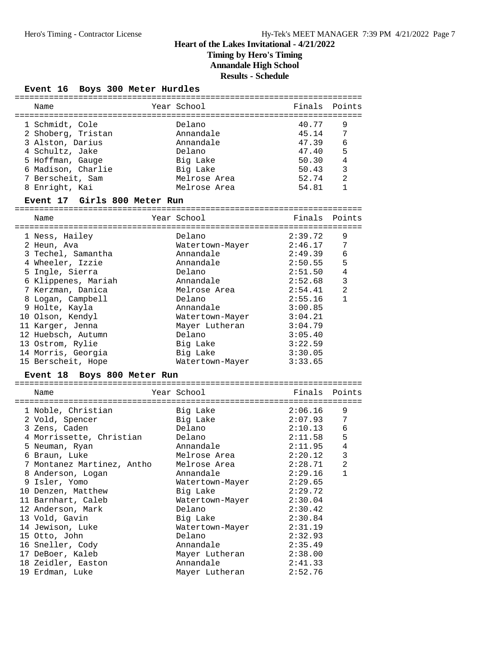**Timing by Hero's Timing**

**Annandale High School**

**Results - Schedule**

### **Event 16 Boys 300 Meter Hurdles**

| Name                                                      | Year School                              | Finals Points           |                     |
|-----------------------------------------------------------|------------------------------------------|-------------------------|---------------------|
| 1 Schmidt, Cole<br>2 Shoberg, Tristan<br>3 Alston, Darius | Delano<br>Annandale<br>Annandale         | 40.77<br>45.14<br>47.39 | 9<br>-7<br>6        |
| 4 Schultz, Jake<br>5 Hoffman, Gauge                       | Delano<br>Big Lake                       | 47.40<br>50.30          | 5<br>$\overline{4}$ |
| 6 Madison, Charlie<br>7 Berscheit, Sam<br>8 Enright, Kai  | Big Lake<br>Melrose Area<br>Melrose Area | 50.43<br>52.74<br>54.81 | 3<br>2              |
|                                                           |                                          |                         |                     |

### **Event 17 Girls 800 Meter Run**

======================================================================= Name The Year School The Finals Points ======================================================================= 1 Ness, Hailey Delano 2:39.72 9 2 Heun, Ava Watertown-Mayer 2:46.17 7 3 Techel, Samantha Annandale 2:49.39 6 4 Wheeler, Izzie Annandale 2:50.55 5 5 Ingle, Sierra Delano 2:51.50 4 6 Klippenes, Mariah Annandale 2:52.68 3 7 Kerzman, Danica Melrose Area 2:54.41 2 8 Logan, Campbell Delano 2:55.16 1 9 Holte, Kayla Annandale 3:00.85 10 Olson, Kendyl Watertown-Mayer 3:04.21 11 Karger, Jenna Mayer Lutheran 3:04.79 12 Huebsch, Autumn Delano 3:05.40 13 Ostrom, Rylie Big Lake 3:22.59 14 Morris, Georgia Big Lake 3:30.05 15 Berscheit, Hope Watertown-Mayer 3:33.65

### **Event 18 Boys 800 Meter Run**

| Name<br>===============================     | Year School in the School and the School and School | Finals Points<br>=============================== |                |
|---------------------------------------------|-----------------------------------------------------|--------------------------------------------------|----------------|
| 1 Noble, Christian                          | Big Lake                                            | 2:06.16                                          | 9              |
| 2 Vold, Spencer                             | Big Lake                                            | 2:07.93                                          | 7              |
| 3 Zens, Caden                               | Delano                                              | 2:10.13                                          | 6              |
| 4 Morrissette, Christian                    | Delano                                              | 2:11.58                                          | 5              |
| 5 Neuman, Ryan                              | Annandale                                           | 2:11.95                                          | $\overline{4}$ |
| 6 Braun, Luke                               | Melrose Area                                        | 2:20.12                                          | 3              |
| 7 Montanez Martinez, Antho     Melrose Area |                                                     | 2:28.71                                          | 2              |
| 8 Anderson, Logan                           | Annandale                                           | 2:29.16                                          | 1              |
| 9 Isler, Yomo                               | Watertown-Mayer 2:29.65                             |                                                  |                |
| 10 Denzen, Matthew                          | Big Lake                                            | 2:29.72                                          |                |
| 11 Barnhart, Caleb                          | Watertown-Mayer                                     | 2:30.04                                          |                |
| 12 Anderson, Mark                           | Delano                                              | 2:30.42                                          |                |
| 13 Vold, Gavin                              | Big Lake                                            | 2:30.84                                          |                |
| 14 Jewison, Luke                            | Watertown-Mayer                                     | 2:31.19                                          |                |
| 15 Otto, John                               | Delano                                              | 2:32.93                                          |                |
| 16 Sneller, Cody                            | Annandale                                           | 2:35.49                                          |                |
| 17 DeBoer, Kaleb                            | Mayer Lutheran                                      | 2:38.00                                          |                |
| 18 Zeidler, Easton                          | Annandale                                           | 2:41.33                                          |                |
| 19 Erdman, Luke                             | Mayer Lutheran                                      | 2:52.76                                          |                |
|                                             |                                                     |                                                  |                |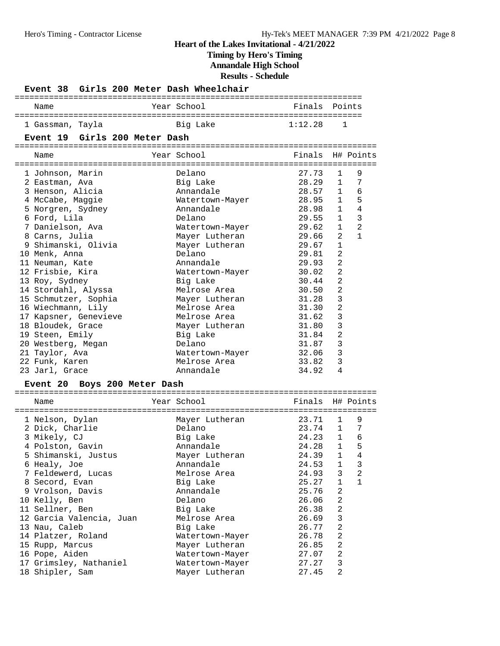**Timing by Hero's Timing**

**Annandale High School**

**Results - Schedule**

| Girls 200 Meter Dash Wheelchair<br><b>Event 38</b> |                 |         |                                |
|----------------------------------------------------|-----------------|---------|--------------------------------|
| Name                                               | Year School     | Finals  | Points                         |
| 1 Gassman, Tayla                                   | Big Lake        | 1:12.28 | 1                              |
| Event 19 Girls 200 Meter Dash                      |                 |         |                                |
|                                                    |                 |         |                                |
| Name                                               | Year School     | Finals  | H# Points                      |
| 1 Johnson, Marin                                   | Delano          | 27.73   | 9<br>1                         |
| 2 Eastman, Ava                                     | Big Lake        | 28.29   | 7<br>$\mathbf{1}$              |
| 3 Henson, Alicia                                   | Annandale       | 28.57   | 6<br>$\mathbf{1}$              |
| 4 McCabe, Maggie                                   | Watertown-Mayer | 28.95   | 5<br>$\mathbf{1}$              |
| 5 Norgren, Sydney                                  | Annandale       | 28.98   | 4<br>$\mathbf{1}$              |
| 6 Ford, Lila                                       | Delano          | 29.55   | 3<br>$\mathbf{1}$              |
| 7 Danielson, Ava                                   | Watertown-Mayer | 29.62   | $\overline{2}$<br>$\mathbf{1}$ |
| 8 Carns, Julia                                     | Mayer Lutheran  | 29.66   | 2<br>$\mathbf{1}$              |
| 9 Shimanski, Olivia                                | Mayer Lutheran  | 29.67   | $\mathbf{1}$                   |
| 10 Menk, Anna                                      | Delano          | 29.81   | $\overline{a}$                 |
| 11 Neuman, Kate                                    | Annandale       | 29.93   | $\overline{a}$                 |
| 12 Frisbie, Kira                                   | Watertown-Mayer | 30.02   | $\overline{2}$                 |
| 13 Roy, Sydney                                     | Big Lake        | 30.44   | $\overline{2}$                 |
| 14 Stordahl, Alyssa                                | Melrose Area    | 30.50   | $\overline{2}$                 |
| 15 Schmutzer, Sophia                               | Mayer Lutheran  | 31.28   | 3                              |
| 16 Wiechmann, Lily                                 | Melrose Area    | 31.30   | $\overline{2}$                 |
| 17 Kapsner, Genevieve                              | Melrose Area    | 31.62   | 3                              |
| 18 Bloudek, Grace                                  | Mayer Lutheran  | 31.80   | 3                              |
| 19 Steen, Emily                                    | Big Lake        | 31.84   | $\overline{2}$                 |
| 20 Westberg, Megan                                 | Delano          | 31.87   | 3                              |
| 21 Taylor, Ava                                     | Watertown-Mayer | 32.06   | 3                              |
| 22 Funk, Karen                                     | Melrose Area    | 33.82   | 3                              |
| 23 Jarl, Grace                                     | Annandale       | 34.92   | 4                              |
| Event 20 Boys 200 Meter Dash                       |                 |         |                                |
|                                                    |                 |         |                                |
| Name                                               | Year School     | Finals  | H# Points                      |
| 1 Nelson, Dylan                                    | Mayer Lutheran  | 23.71   | 9<br>1                         |
| 2 Dick, Charlie                                    | Delano          | 23.74   | 7<br>$\mathbf{1}$              |
| 3 Mikely, CJ                                       | Big Lake        | 24.23   | 6<br>1                         |
| 4 Polston, Gavin                                   | Annandale       | 24.28   | 5<br>$\mathbf{1}$              |
| 5 Shimanski, Justus                                | Mayer Lutheran  | 24.39   | 1<br>4                         |
| 6 Healy, Joe                                       | Annandale       | 24.53   | 1<br>3                         |
| 7 Feldewerd, Lucas                                 | Melrose Area    | 24.93   | 3<br>2                         |
| 8 Secord, Evan                                     | Big Lake        | 25.27   | 1<br>1                         |
| 9 Vrolson, Davis                                   | Annandale       | 25.76   | 2                              |
| 10 Kelly, Ben                                      | Delano          | 26.06   | 2                              |
| 11 Sellner, Ben                                    | Big Lake        | 26.38   | 2                              |
| 12 Garcia Valencia, Juan                           | Melrose Area    | 26.69   | 3                              |
| 13 Nau, Caleb                                      | Big Lake        | 26.77   | 2                              |
| 14 Platzer, Roland                                 | Watertown-Mayer | 26.78   | 2                              |
| 15 Rupp, Marcus                                    | Mayer Lutheran  | 26.85   | 2                              |
| 16 Pope, Aiden                                     | Watertown-Mayer | 27.07   | 2                              |
| 17 Grimsley, Nathaniel                             | Watertown-Mayer | 27.27   | 3                              |
| 18 Shipler, Sam                                    | Mayer Lutheran  | 27.45   | 2                              |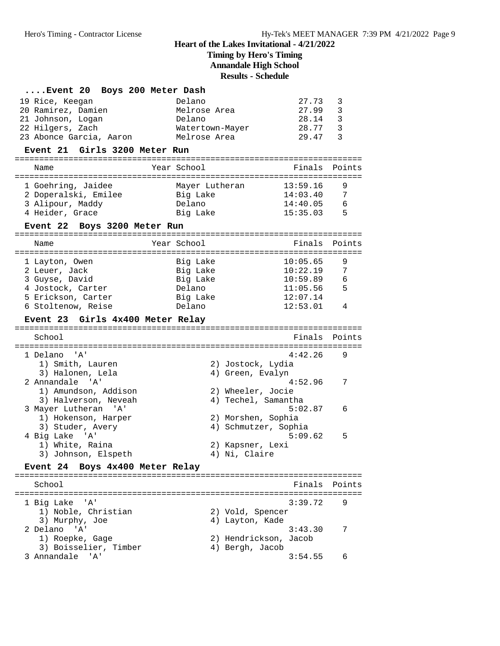# **Timing by Hero's Timing**

**Annandale High School**

**Results - Schedule**

|                                                                                                                                           | wsuns - scheume                                                                                                                          |                       |
|-------------------------------------------------------------------------------------------------------------------------------------------|------------------------------------------------------------------------------------------------------------------------------------------|-----------------------|
| Event 20 Boys 200 Meter Dash<br>19 Rice, Keegan<br>20 Ramirez, Damien<br>21 Johnson, Logan<br>22 Hilgers, Zach<br>23 Abonce Garcia, Aaron | 27.73<br>Delano<br>27.99<br>Melrose Area<br>28.14<br>Delano<br>28.77<br>Watertown-Mayer<br>29.47<br>Melrose Area                         | 3<br>3<br>3<br>3<br>3 |
| Event 21 Girls 3200 Meter Run                                                                                                             |                                                                                                                                          |                       |
| Name                                                                                                                                      | Year School<br>Finals                                                                                                                    | Points                |
| 1 Goehring, Jaidee<br>2 Doperalski, Emilee<br>3 Alipour, Maddy<br>4 Heider, Grace<br>Event 22 Boys 3200 Meter Run                         | 13:59.16<br>Mayer Lutheran<br>Big Lake<br>14:03.40<br>Delano<br>14:40.05<br>Big Lake<br>15:35.03                                         | 9<br>7<br>6<br>5      |
| Name                                                                                                                                      | Year School<br>Finals                                                                                                                    | Points                |
| 1 Layton, Owen<br>2 Leuer, Jack<br>3 Guyse, David<br>4 Jostock, Carter<br>5 Erickson, Carter<br>6 Stoltenow, Reise                        | 10:05.65<br>Big Lake<br>10:22.19<br>Big Lake<br>10:59.89<br>Big Lake<br>Delano<br>11:05.56<br>Big Lake<br>12:07.14<br>12:53.01<br>Delano | 9<br>7<br>6<br>5<br>4 |
| Event 23 Girls 4x400 Meter Relay                                                                                                          |                                                                                                                                          |                       |
| School                                                                                                                                    | Finals                                                                                                                                   | Points                |
| 1 Delano 'A'<br>1) Smith, Lauren<br>3) Halonen, Lela                                                                                      | 4:42.26<br>2) Jostock, Lydia<br>4) Green, Evalyn                                                                                         | 9                     |
| 2 Annandale<br>$^{\prime}$ A $^{\prime}$<br>1) Amundson, Addison<br>3) Halverson, Neveah                                                  | 4:52.96<br>2) Wheeler, Jocie<br>4) Techel, Samantha                                                                                      | 7                     |
| 3 Mayer Lutheran 'A'<br>1) Hokenson, Harper<br>3) Studer, Avery                                                                           | 5:02.87<br>2) Morshen, Sophia<br>4) Schmutzer, Sophia                                                                                    | 6                     |
| 4 Big Lake 'A'<br>1) White, Raina<br>3) Johnson, Elspeth                                                                                  | 5:09.62<br>2) Kapsner, Lexi<br>4) Ni, Claire                                                                                             | 5                     |
| Boys 4x400 Meter Relay<br><b>Event 24</b>                                                                                                 |                                                                                                                                          |                       |
| School                                                                                                                                    | Finals<br>--------------------                                                                                                           | Points                |
| 1 Big Lake<br>'' A '<br>1) Noble, Christian<br>3) Murphy, Joe                                                                             | 3:39.72<br>2) Vold, Spencer<br>4) Layton, Kade                                                                                           | 9                     |
| ' A '<br>2 Delano<br>1) Roepke, Gage<br>3) Boisselier, Timber                                                                             | 3:43.30<br>2) Hendrickson, Jacob<br>4) Bergh, Jacob                                                                                      | 7                     |
| 3 Annandale<br>'' A '                                                                                                                     | 3:54.55                                                                                                                                  | 6                     |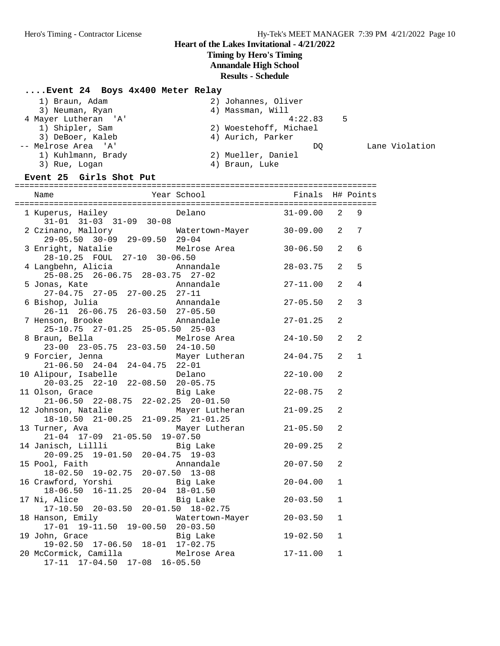Lane Violation

## **Heart of the Lakes Invitational - 4/21/2022**

## **Timing by Hero's Timing**

**Annandale High School**

## **Results - Schedule**

## **....Event 24 Boys 4x400 Meter Relay**

| 1) Braun, Adam       | 2) Johannes, Oliver    |     |
|----------------------|------------------------|-----|
| 3) Neuman, Ryan      | 4) Massman, Will       |     |
| 4 Mayer Lutheran 'A' | 4:22.83                | - 5 |
| 1) Shipler, Sam      | 2) Woestehoff, Michael |     |
| 3) DeBoer, Kaleb     | 4) Aurich, Parker      |     |
| -- Melrose Area 'A'  | DO                     |     |
| 1) Kuhlmann, Brady   | 2) Mueller, Daniel     |     |
| 3) Rue, Logan        | 4) Braun, Luke         |     |

### **Event 25 Girls Shot Put**

|                                                                                  |                 |              |                | H# Points      |
|----------------------------------------------------------------------------------|-----------------|--------------|----------------|----------------|
|                                                                                  |                 |              |                |                |
| 1 Kuperus, Hailey Mandeler Delano<br>$31-01$ $31-03$ $31-09$ $30-08$             |                 | $31 - 09.00$ | $\overline{2}$ | 9              |
| 2 Czinano, Mallory 6 Matertown-Mayer 30-09.00 2<br>29-05.50 30-09 29-09.50 29-04 |                 |              |                | 7              |
| 3 Enright, Natalie Melrose Area<br>28-10.25 FOUL 27-10 30-06.50                  |                 | $30 - 06.50$ | 2              | 6              |
| 4 Langbehn, Alicia<br>$2\overline{5} - 08.25$ 26-06.75 28-03.75 27-02            | Annandale       | $28 - 03.75$ | 2              | 5              |
| 5 Jonas, Kate<br>$27-04.75$ 27-05 27-00.25 27-11                                 | Annandale       | $27 - 11.00$ | $\overline{2}$ | 4              |
| 6 Bishop, Julia<br>$26-11$ $26-06.75$ $26-03.50$ $27-05.50$                      | Annandale       | $27 - 05.50$ | $\overline{2}$ | 3              |
| 7 Henson, Brooke<br>25-10.75 27-01.25 25-05.50 25-03                             | Annandale       | $27 - 01.25$ | 2              |                |
| 8 Braun, Bella<br>23-00 23-05.75 23-03.50 24-10.50                               | Melrose Area    | $24 - 10.50$ | $\overline{2}$ | $\overline{a}$ |
| 9 Forcier, Jenna Mayer Lutheran<br>21-06.50 24-04 24-04.75 22-01                 |                 | $24 - 04.75$ | $\overline{2}$ | $\mathbf{1}$   |
| 10 Alipour, Isabelle<br>20-03.25 22-10 22-08.50 20-05.75                         | Delano          | $22 - 10.00$ | 2              |                |
| 11 Olson, Grace<br>$21-06.50$ $22-08.75$ $22-02.25$ $20-01.50$                   | Big Lake        | $22 - 08.75$ | 2              |                |
| 12 Johnson, Natalie Mayer Lutheran<br>18-10.50 21-00.25 21-09.25 21-01.25        |                 | $21 - 09.25$ | $\overline{2}$ |                |
| 13 Turner, Ava<br>21-04 17-09 21-05.50 19-07.50                                  | Mayer Lutheran  | $21 - 05.50$ | 2              |                |
| 14 Janisch, Lillli<br>$20-09.25$ 19-01.50 20-04.75 19-03                         | Big Lake        | $20 - 09.25$ | 2              |                |
| 15 Pool, Faith<br>18-02.50 19-02.75 20-07.50 13-08                               | Annandale       | $20 - 07.50$ | $\overline{2}$ |                |
| 16 Crawford, Yorshi<br>18-06.50 16-11.25 20-04 18-01.50                          |                 | $20 - 04.00$ | $\mathbf{1}$   |                |
| 17 Ni, Alice<br>$17-10.50$ 20-03.50 20-01.50 18-02.75                            | Big Lake        | $20 - 03.50$ | $\mathbf{1}$   |                |
| 18 Hanson, Emily<br>17-01 19-11.50 19-00.50 20-03.50                             | Watertown-Mayer | $20 - 03.50$ | $\mathbf{1}$   |                |
| 19 John, Grace<br>19-02.50 17-06.50 18-01 17-02.75                               | Big Lake        | $19 - 02.50$ | $\mathbf{1}$   |                |
| 20 McCormick, Camilla Melrose Area<br>17-11 17-04.50 17-08 16-05.50              |                 | $17 - 11.00$ | $\mathbf{1}$   |                |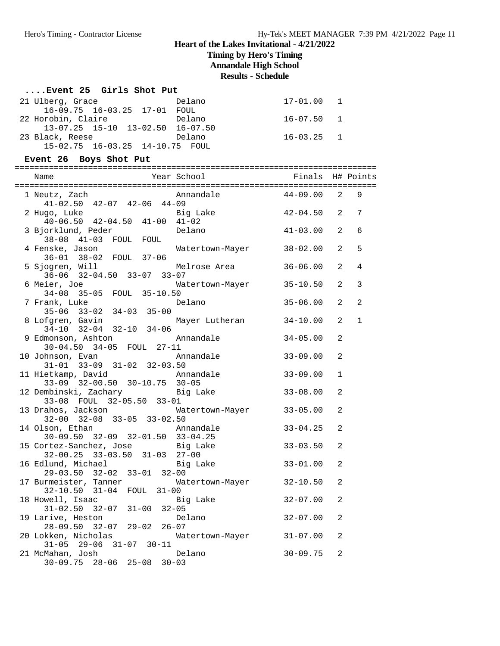**Timing by Hero's Timing**

**Annandale High School**

**Results - Schedule**

### **....Event 25 Girls Shot Put**

| 21 Ulberg, Grace                         | Delano | 17-01.00 1     |  |
|------------------------------------------|--------|----------------|--|
| 16-09.75 16-03.25 17-01 FOUL             |        |                |  |
| 22 Horobin, Claire                       | Delano | 16-07.50 1     |  |
| $13-07.25$ $15-10$ $13-02.50$ $16-07.50$ |        |                |  |
| 23 Black, Reese                          | Delano | $16 - 03.25$ 1 |  |
| 15-02.75 16-03.25 14-10.75 FOUL          |        |                |  |

### **Event 26 Boys Shot Put**

| Name                                                                  | Year School <a> Finals H# Points</a> |                |                |                |
|-----------------------------------------------------------------------|--------------------------------------|----------------|----------------|----------------|
| 1 Neutz, Zach<br>$41-02.50$ $42-07$ $42-06$ $44-09$                   | Annandale                            | $44 - 09.00$ 2 |                | 9              |
| 2 Hugo, Luke<br>$40-06.50$ $42-04.50$ $41-00$ $41-02$                 | Big Lake                             | $42 - 04.50$   | 2              | 7              |
| 3 Bjorklund, Peder<br>38-08 41-03 FOUL FOUL                           | Delano                               | $41 - 03.00$   | 2              | 6              |
| 4 Fenske, Jason<br>36-01 38-02 FOUL 37-06                             | Watertown-Mayer                      | $38 - 02.00$   | 2              | 5              |
| 5 Sjogren, Will<br>36-06 32-04.50 33-07 33-07                         | Melrose Area                         | $36 - 06.00$   | 2              | 4              |
| 6 Meier, Joe<br>34-08 35-05 FOUL 35-10.50                             | Watertown-Mayer                      | $35 - 10.50$   | 2              | 3              |
| 7 Frank, Luke<br>35-06 33-02 34-03 35-00                              | Delano                               | $35 - 06.00$   | 2              | $\overline{a}$ |
| 8 Lofgren, Gavin<br>$34-10$ $32-04$ $32-10$ $34-06$                   | Mayer Lutheran                       | 34-10.00       | 2              | $\mathbf{1}$   |
| 9 Edmonson, Ashton<br>30-04.50 34-05 FOUL 27-11                       | Annandale                            | $34 - 05.00$   | 2              |                |
| 10 Johnson, Evan<br>$31-01$ $33-09$ $31-02$ $32-03.50$                | Annandale                            | $33 - 09.00$   | 2              |                |
| 11 Hietkamp, David<br>33-09 32-00.50 30-10.75 30-05                   | Annandale                            | $33 - 09.00$   | $\mathbf{1}$   |                |
| 12 Dembinski, Zachary           Big Lake<br>33-08 FOUL 32-05.50 33-01 |                                      | $33 - 08.00$   | $\overline{a}$ |                |
| 13 Drahos, Jackson<br>32-00 32-08 33-05 33-02.50                      | Watertown-Mayer                      | $33 - 05.00$   | 2              |                |
| 14 Olson, Ethan<br>$30-09.50$ $32-09$ $32-01.50$ $33-04.25$           | Annandale                            | $33 - 04.25$   | 2              |                |
| 15 Cortez-Sanchez, Jose Big Lake<br>32-00.25 33-03.50 31-03 27-00     |                                      | $33 - 03.50$   | $\overline{a}$ |                |
| 16 Edlund, Michael and Big Lake<br>29-03.50 32-02 33-01 32-00         |                                      | $33 - 01.00$   | $\overline{a}$ |                |
| 17 Burmeister, Tanner<br>32-10.50 31-04 FOUL 31-00                    | Watertown-Mayer                      | $32 - 10.50$   | 2              |                |
| 18 Howell, Isaac<br>$31-02.50$ $32-07$ $31-00$ $32-05$                | Big Lake                             | $32 - 07.00$   | $\overline{a}$ |                |
| 19 Larive, Heston<br>28-09.50 32-07 29-02 26-07                       | Delano                               | $32 - 07.00$   | $\overline{a}$ |                |
| 20 Lokken, Nicholas<br>$31-05$ $29-06$ $31-07$ $30-11$                | Watertown-Mayer                      | 31-07.00       | 2              |                |
| 21 McMahan, Josh<br>30-09.75 28-06 25-08 30-03                        | Delano                               | $30 - 09.75$   | 2              |                |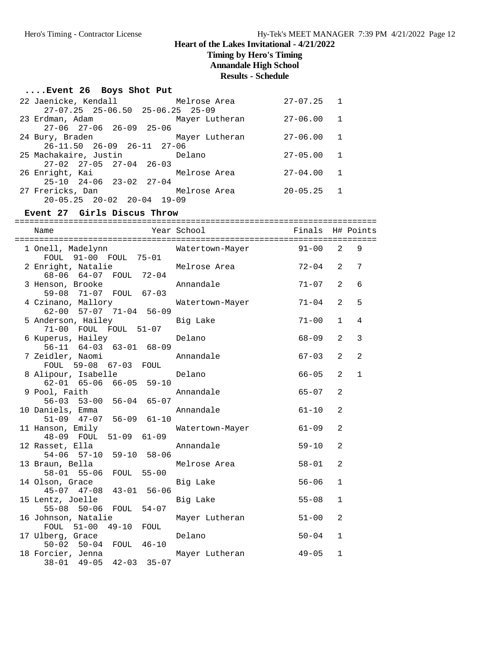### **Timing by Hero's Timing**

**Annandale High School**

#### **Results - Schedule**

### **....Event 26 Boys Shot Put**

| 22 Jaenicke, Kendall                       | Melrose Area   | $27 - 07.25$ 1 |                |
|--------------------------------------------|----------------|----------------|----------------|
| $27-07.25$ $25-06.50$ $25-06.25$ $25-09$   |                |                |                |
| 23 Erdman, Adam                            | Mayer Lutheran | $27 - 06.00$   | $\overline{1}$ |
| $27-06$ $27-06$ $26-09$ $25-06$            |                |                |                |
| 24 Bury, Braden                            | Mayer Lutheran | 27-06.00       | $\overline{1}$ |
| $26 - 11.50$ $26 - 09$ $26 - 11$ $27 - 06$ |                |                |                |
| 25 Machakaire, Justin in Delano            |                | $27 - 05.00$   | 1              |
| $27-02$ $27-05$ $27-04$ $26-03$            |                |                |                |
| 26 Enright, Kai                            | Melrose Area   | $27 - 04.00$   | 1              |
| $25-10$ $24-06$ $23-02$ $27-04$            |                |                |                |
| 27 Frericks, Dan                           | Melrose Area   | $20 - 05.25$ 1 |                |
| $20 - 05.25$ $20 - 02$ $20 - 04$ $19 - 09$ |                |                |                |

#### **Event 27 Girls Discus Throw**

========================================================================== Name Year School Finals H# Points ========================================================================== 1 Onell, Madelynn Watertown-Mayer 91-00 2 9 FOUL 91-00 FOUL 75-01 2 Enright, Natalie Melrose Area 72-04 2 7 68-06 64-07 FOUL 72-04 3 Henson, Brooke **Annandale** 71-07 2 6 59-08 71-07 FOUL 67-03 4 Czinano, Mallory Watertown-Mayer 71-04 2 5 62-00 57-07 71-04 56-09 5 Anderson, Hailey Big Lake 71-00 1 4 71-00 FOUL FOUL 51-07 6 Kuperus, Hailey Delano 68-09 2 3 56-11 64-03 63-01 68-09 Annandale 67-03 2 2 FOUL 59-08 67-03 FOUL<br>8 Alipour, Isabelle 8 Belano 66-05 2 1 62-01 65-06 66-05 59-10 9 Pool, Faith Annandale 65-07 2 56-03 53-00 56-04 65-07 10 Daniels, Emma Annandale 61-10 2 51-09 47-07 56-09 61-10 11 Hanson, Emily Watertown-Mayer 61-09 2 48-09 FOUL 51-09 61-09 12 Rasset, Ella Annandale 59-10 2 54-06 57-10 59-10 58-06 13 Braun, Bella Melrose Area 58-01 2 58-01 55-06 FOUL 55-00 14 Olson, Grace Big Lake 56-06 1 45-07 47-08 43-01 56-06 15 Lentz, Joelle **15 Edge Big Lake** 55-08 1 55-08 50-06 FOUL 54-07 16 Johnson, Natalie Mayer Lutheran 51-00 2 FOUL 51-00 49-10 FOUL 17 Ulberg, Grace 1 Delano 50-04 1 50-02 50-04 FOUL 46-10 18 Forcier, Jenna Mayer Lutheran 49-05 1 38-01 49-05 42-03 35-07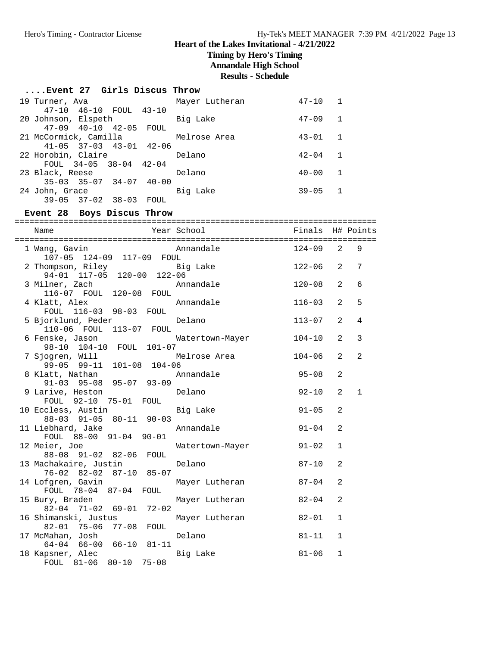**Timing by Hero's Timing**

**Annandale High School**

**Results - Schedule**

#### **....Event 27 Girls Discus Throw**

|  | 19 Turner, Ava        |                                         |      | Mayer Lutheran | $47 - 10$ | $\mathbf{1}$   |
|--|-----------------------|-----------------------------------------|------|----------------|-----------|----------------|
|  |                       | 47-10 46-10 FOUL 43-10                  |      |                |           |                |
|  | 20 Johnson, Elspeth   |                                         |      | Big Lake       | $47 - 09$ | $\mathbf{1}$   |
|  |                       | 47-09 40-10 42-05 FOUL                  |      |                |           |                |
|  | 21 McCormick, Camilla |                                         |      | Melrose Area   | $43 - 01$ | $\overline{1}$ |
|  |                       | $41 - 05$ $37 - 03$ $43 - 01$ $42 - 06$ |      |                |           |                |
|  | 22 Horobin, Claire    |                                         |      | Delano         | $42 - 04$ | $\mathbf{1}$   |
|  |                       | FOUL $34-05$ $38-04$ $42-04$            |      |                |           |                |
|  | 23 Black, Reese       |                                         |      | Delano         | $40 - 00$ | $\mathbf{1}$   |
|  |                       | $35-03$ $35-07$ $34-07$ $40-00$         |      |                |           |                |
|  | 24 John, Grace        |                                         |      | Big Lake       | $39 - 05$ |                |
|  |                       | $39 - 05$ $37 - 02$ $38 - 03$           | FOUL |                |           |                |

#### **Event 28 Boys Discus Throw**

========================================================================== Name The Year School Team Pinals H# Points ========================================================================== 1 Wang, Gavin **Annandale**  107-05 124-09 117-09 FOUL 2 Thompson, Riley Big Lake 122-06 2 7 94-01 117-05 120-00 122-06 3 Milner, Zach Annandale 120-08 2 6 116-07 FOUL 120-08 FOUL 4 Klatt, Alex Annandale 116-03 2 5 FOUL 116-03 98-03 FOUL 5 Bjorklund, Peder Delano 113-07 2 4 110-06 FOUL 113-07 FOUL 6 Fenske, Jason Watertown-Mayer 104-10 2 3 98-10 104-10 FOUL 101-07<br>7 Sjogren, Will Melrose Area  $104-06$  2 2 99-05 99-11 101-08 104-06 8 Klatt, Nathan Annandale 95-08 2 91-03 95-08 95-07 93-09 9 Larive, Heston Delano 92-10 2 1 FOUL 92-10 75-01 FOUL<br>10 Eccless, Austin 10 Big Lake 91-05 2 88-03 91-05 80-11 90-03 11 Liebhard, Jake Annandale 91-04 2 FOUL 88-00 91-04 90-01 12 Meier, Joe Watertown-Mayer 91-02 1 88-08 91-02 82-06 FOUL 13 Machakaire, Justin Delano 87-10 2 76-02 82-02 87-10 85-07 14 Mayer Lutheran and 187-04 2 FOUL 78-04 87-04 FOUL 15 Bury, Braden Mayer Lutheran 82-04 2 82-04 71-02 69-01 72-02 16 Shimanski, Justus Mayer Lutheran 82-01 1 82-01 75-06 77-08 FOUL 17 McMahan, Josh Delano 81-11 1 64-04 66-00 66-10 81-11 18 Kapsner, Alec Big Lake 81-06 1 FOUL 81-06 80-10 75-08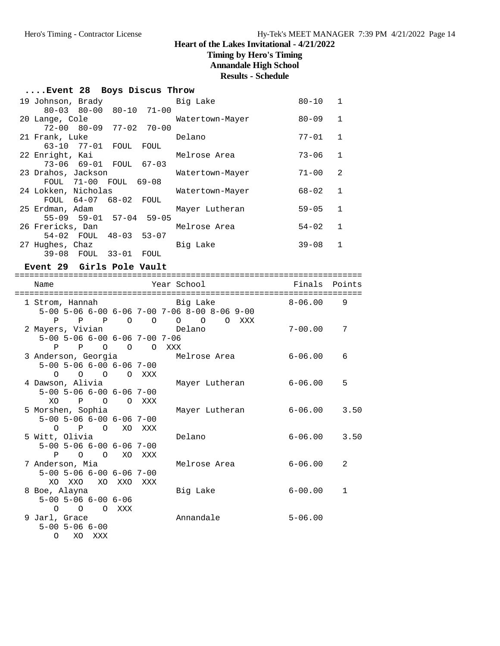## **Timing by Hero's Timing**

**Annandale High School**

**Results - Schedule**

## **....Event 28 Boys Discus Throw**

|  | 19 Johnson, Brady               |                                 |            |             | Big Lake        | $80 - 10$ | $\mathbf{1}$ |
|--|---------------------------------|---------------------------------|------------|-------------|-----------------|-----------|--------------|
|  |                                 | $80 - 03$ $80 - 00$             |            | 80-10 71-00 |                 |           |              |
|  | 20 Lange, Cole                  |                                 |            |             | Watertown-Mayer | $80 - 09$ | 1            |
|  |                                 | $72-00$ $80-09$ $77-02$ $70-00$ |            |             |                 |           |              |
|  | 21 Frank, Luke                  |                                 |            |             | Delano          | $77 - 01$ | $\mathbf{1}$ |
|  |                                 | 63-10 77-01 FOUL FOUL           |            |             |                 |           |              |
|  | 22 Enright, Kai                 |                                 |            |             | Melrose Area    | $73 - 06$ | 1            |
|  |                                 | 73-06 69-01 FOUL 67-03          |            |             |                 |           |              |
|  | 23 Drahos, Jackson              |                                 |            |             | Watertown-Mayer | $71 - 00$ | 2            |
|  |                                 | FOUL 71-00 FOUL 69-08           |            |             |                 |           |              |
|  | 24 Lokken, Nicholas             |                                 |            |             | Watertown-Mayer | $68 - 02$ | 1            |
|  | $FOUL$ 64-07                    |                                 | 68-02 FOUL |             |                 |           |              |
|  | 25 Erdman, Adam                 |                                 |            |             | Mayer Lutheran  | $59 - 05$ | $\mathbf{1}$ |
|  |                                 | 55-09 59-01 57-04 59-05         |            |             |                 |           |              |
|  | 26 Frericks, Dan                |                                 |            |             | Melrose Area    | $54 - 02$ | 1            |
|  |                                 | 54-02 FOUL 48-03 53-07          |            |             |                 | $39 - 08$ | 1            |
|  | 27 Hughes, Chaz<br>$39-08$ FOUL |                                 | 33-01      | FOUL        | Big Lake        |           |              |
|  |                                 |                                 |            |             |                 |           |              |

### **Event 29 Girls Pole Vault**

| Name                                                                                   |       | Year School                                  | Finals      | Points         |
|----------------------------------------------------------------------------------------|-------|----------------------------------------------|-------------|----------------|
| 1 Strom, Hannah                 Big Lake                                               |       | 5-00 5-06 6-00 6-06 7-00 7-06 8-00 8-06 9-00 | $8 - 06.00$ | 9              |
| 2 Mayers, Vivian and Delano                                                            |       | P P P O O O O O XXX                          | $7 - 00.00$ | 7              |
| $5-00$ $5-06$ $6-00$ $6-06$ $7-00$ $7-06$<br>P P O O O XXX                             |       |                                              |             |                |
| $5-00$ $5-06$ $6-00$ $6-06$ $7-00$                                                     |       | 3 Anderson, Georgia Melrose Area             | 6-06.00     | 6              |
| 0 0 0 0 XXX<br>4 Dawson, Alivia<br>$5-00$ $5-06$ $6-00$ $6-06$ $7-00$                  |       | Mayer Lutheran                               | 6-06.00     | 5              |
| XO<br>$P$ 0<br>5 Morshen, Sophia<br>$5 - 00$ $5 - 06$ $6 - 00$ $6 - 06$ $7 - 00$       | O XXX | Mayer Lutheran                               | 6-06.00     | 3.50           |
| O P O XO XXX<br>5 Witt, Olivia<br>$5 - 00$ $5 - 06$ $6 - 00$ $6 - 06$ $7 - 00$         |       | Delano                                       | $6 - 06.00$ | 3.50           |
| P O O XO XXX<br>7 Anderson, Mia<br>$5 - 00$ $5 - 06$ $6 - 00$ $6 - 06$ $7 - 00$        |       | Melrose Area                                 | $6 - 06.00$ | $\mathfrak{D}$ |
| XO XXO XO XXO XXX<br>8 Boe, Alayna<br>$5 - 00$ $5 - 06$ $6 - 00$ $6 - 06$<br>O O O XXX |       | Big Lake                                     | $6 - 00.00$ | 1              |
| 9 Jarl, Grace<br>$5 - 00$ $5 - 06$ $6 - 00$<br>XO XXX<br>O                             |       | Annandale                                    | $5 - 06.00$ |                |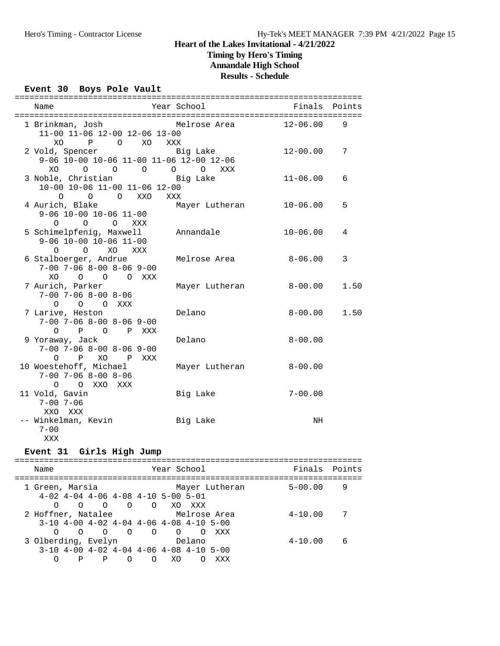### **Timing by Hero's Timing Annandale High School**

**Results - Schedule**

### **Event 30 Boys Pole Vault**

| Name                                                                                              | Year School     | Finals       | Points |
|---------------------------------------------------------------------------------------------------|-----------------|--------------|--------|
| 1 Brinkman, Josh       Melrose Area<br>11-00 11-06 12-00 12-06 13-00<br>P O XO                    |                 | $12 - 06.00$ | 9      |
| XO<br>2 Vold, Spencer<br>9-06 10-00 10-06 11-00 11-06 12-00 12-06<br>XO<br>$\circ$<br>O O O O XXX | XXX<br>Big Lake | $12 - 00.00$ | 7      |
| 3 Noble, Christian Big Lake<br>10-00 10-06 11-00 11-06 12-00<br>$\circ$<br>O O XXO                | XXX             | $11 - 06.00$ | 6      |
| 4 Aurich, Blake<br>$9-06$ 10-00 10-06 11-00<br>$O$ $O$ $O$ $XXX$                                  | Mayer Lutheran  | $10 - 06.00$ | 5      |
| 5 Schimelpfenig, Maxwell<br>$9-06$ 10-00 10-06 11-00<br>$0\qquad 0$<br>XO XXX                     | Annandale       | $10 - 06.00$ | 4      |
| 6 Stalboerger, Andrue<br>$7-00$ $7-06$ $8-00$ $8-06$ $9-00$<br>XO O O XXX                         | Melrose Area    | $8 - 06.00$  | 3      |
| 7 Aurich, Parker<br>$7 - 00$ $7 - 06$ $8 - 00$ $8 - 06$<br>0 0 0 XXX                              | Mayer Lutheran  | $8 - 00.00$  | 1.50   |
| 7 Larive, Heston<br>$7-00$ $7-06$ $8-00$ $8-06$ $9-00$<br>$O$ $P$ $O$ $P$<br>XXX                  | Delano          | $8 - 00.00$  | 1.50   |
| 9 Yoraway, Jack<br>$7-00$ $7-06$ $8-00$ $8-06$ $9-00$<br>O P XO P XXX                             | Delano          | $8 - 00.00$  |        |
| 10 Woestehoff, Michael<br>$7-00$ $7-06$ $8-00$ $8-06$<br>O O XXO XXX                              | Mayer Lutheran  | $8 - 00.00$  |        |
| 11 Vold, Gavin<br>$7 - 00$ $7 - 06$<br>XXO XXX                                                    | Big Lake        | $7 - 00.00$  |        |
| -- Winkelman, Kevin<br>$7 - 00$<br>XXX                                                            | Big Lake        | NH           |        |

#### **Event 31 Girls High Jump**

======================================================================= Name The Year School Team Points Points ======================================================================= 1 Green, Marsia Mayer Lutheran 5-00.00 9 4-02 4-04 4-06 4-08 4-10 5-00 5-01 O O O O O XO XXX 2 Hoffner, Natalee Melrose Area 4-10.00 7 3-10 4-00 4-02 4-04 4-06 4-08 4-10 5-00 O O O O O O O XXX 3 Olberding, Evelyn Delano 4-10.00 6 3-10 4-00 4-02 4-04 4-06 4-08 4-10 5-00 O P P O O XO O XXX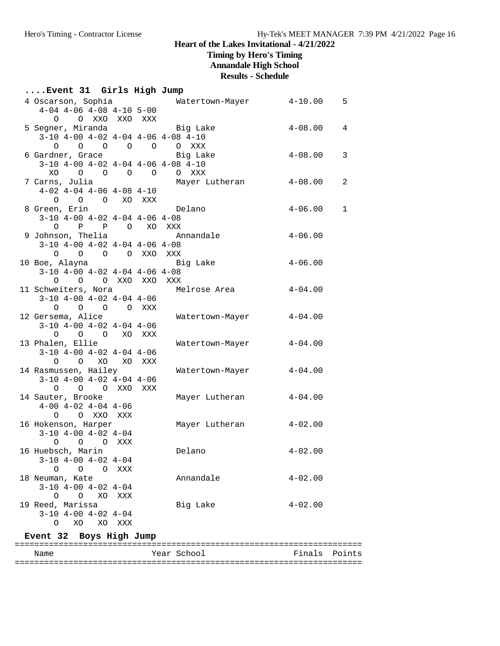**Timing by Hero's Timing**

**Annandale High School**

## **Results - Schedule**

## **....Event 31 Girls High Jump**

| 4 Oscarson, Sophia                                     |        | Watertown-Mayer | $4 - 10.00$ | 5            |
|--------------------------------------------------------|--------|-----------------|-------------|--------------|
| $4-04$ $4-06$ $4-08$ $4-10$ $5-00$                     |        |                 |             |              |
| O O XXO XXO XXX                                        |        |                 |             |              |
| 5 Segner, Miranda                                      |        | Big Lake        | $4 - 08.00$ | 4            |
| $3-10$ $4-00$ $4-02$ $4-04$ $4-06$ $4-08$ $4-10$       |        |                 |             |              |
| $\begin{matrix} 0 & 0 & 0 & 0 \end{matrix}$<br>$\circ$ |        | O XXX           |             |              |
| 6 Gardner, Grace                                       |        | Big Lake        | $4 - 08.00$ | 3            |
| $3-10$ $4-00$ $4-02$ $4-04$ $4-06$ $4-08$ $4-10$       |        |                 |             |              |
| $XO$ 0 0 0 0                                           |        | O XXX           |             |              |
| 7 Carns, Julia                                         |        | Mayer Lutheran  | $4 - 08.00$ | 2            |
| $4-02$ $4-04$ $4-06$ $4-08$ $4-10$                     |        |                 |             |              |
| O O O XO XXX                                           |        |                 |             |              |
| 8 Green, Erin                                          |        | Delano          | $4 - 06.00$ | $\mathbf{1}$ |
| $3-10$ $4-00$ $4-02$ $4-04$ $4-06$ $4-08$              |        |                 |             |              |
| O P P O XO XXX                                         |        |                 |             |              |
| 9 Johnson, Thelia                                      |        | Annandale       | $4 - 06.00$ |              |
| $3-10$ $4-00$ $4-02$ $4-04$ $4-06$ $4-08$              |        |                 |             |              |
| 0 0 0 0 XXO XXX                                        |        |                 |             |              |
| 10 Boe, Alayna                                         |        | Big Lake        | $4 - 06.00$ |              |
| $3-10$ $4-00$ $4-02$ $4-04$ $4-06$ $4-08$              |        |                 |             |              |
| 0 0 0 XXO XXO XXX                                      |        |                 |             |              |
| 11 Schweiters, Nora                                    |        | Melrose Area    | $4 - 04.00$ |              |
| $3-10$ $4-00$ $4-02$ $4-04$ $4-06$                     |        |                 |             |              |
| O O O O XXX                                            |        |                 |             |              |
| 12 Gersema, Alice                                      |        | Watertown-Mayer | $4 - 04.00$ |              |
| $3-10$ $4-00$ $4-02$ $4-04$ $4-06$                     |        |                 |             |              |
| 0 0 0 XO XXX                                           |        |                 |             |              |
| 13 Phalen, Ellie                                       |        | Watertown-Mayer | $4 - 04.00$ |              |
| $3-10$ $4-00$ $4-02$ $4-04$ $4-06$                     |        |                 |             |              |
| XO<br>$\circ$<br>$\Omega$                              | XO XXX |                 |             |              |
| 14 Rasmussen, Hailey                                   |        | Watertown-Mayer | $4 - 04.00$ |              |
| $3-10$ $4-00$ $4-02$ $4-04$ $4-06$                     |        |                 |             |              |
| O O O XXO XXX                                          |        |                 |             |              |
| 14 Sauter, Brooke                                      |        | Mayer Lutheran  | $4 - 04.00$ |              |
| $4-00$ $4-02$ $4-04$ $4-06$                            |        |                 |             |              |
| O XXO<br>$\circ$<br>XXX                                |        |                 |             |              |
| 16 Hokenson, Harper                                    |        | Mayer Lutheran  | $4 - 02.00$ |              |
| $3-10$ $4-00$ $4-02$ $4-04$                            |        |                 |             |              |
| O O O XXX                                              |        |                 |             |              |
| 16 Huebsch, Marin                                      |        | Delano          | $4 - 02.00$ |              |
| $3-10$ 4-00 4-02 4-04                                  |        |                 |             |              |
| $0\qquad 0\qquad 0$<br>XXX                             |        |                 |             |              |
| 18 Neuman, Kate                                        |        | Annandale       | $4 - 02.00$ |              |
| $3-10$ $4-00$ $4-02$ $4-04$                            |        |                 |             |              |
| $O$ $O$ $XO$<br>XXX                                    |        |                 |             |              |
| 19 Reed, Marissa                                       |        | Big Lake        | $4 - 02.00$ |              |
| $3-10$ $4-00$ $4-02$ $4-04$                            |        |                 |             |              |
| $\circ$<br>XO<br>XO<br>XXX                             |        |                 |             |              |

## **Event 32 Boys High Jump**

| Name | Year School | Finals Points |  |
|------|-------------|---------------|--|
|      |             |               |  |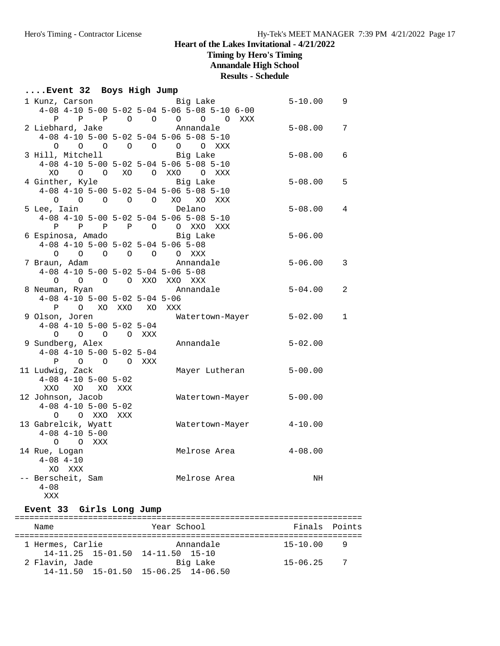**Timing by Hero's Timing**

**Annandale High School**

## **Results - Schedule**

## **....Event 32 Boys High Jump**

| 1 Kunz, Carson                                   |     |       | Big Lake                                     | $5 - 10.00$           | 9            |
|--------------------------------------------------|-----|-------|----------------------------------------------|-----------------------|--------------|
|                                                  |     |       | 4-08 4-10 5-00 5-02 5-04 5-06 5-08 5-10 6-00 |                       |              |
| P P O O O<br>$\mathbf{P}$                        |     |       | $\circ$ $\circ$<br>XXX                       |                       |              |
| 2 Liebhard, Jake                                 |     |       | Annandale                                    | $5 - 08.00$           | 7            |
| 4-08 4-10 5-00 5-02 5-04 5-06 5-08 5-10          |     |       |                                              |                       |              |
| $\circ$                                          |     |       | 0 0 0 0 0 0 XXX                              |                       |              |
| 3 Hill, Mitchell                                 |     |       | Big Lake                                     | $5 - 08.00$           | 6            |
| 4-08 4-10 5-00 5-02 5-04 5-06 5-08 5-10          |     |       |                                              |                       |              |
| XOOOXOOXXO                                       |     |       | O XXX                                        |                       |              |
| 4 Ginther, Kyle                                  |     |       | Big Lake                                     | $5 - 08.00$           | 5            |
| 4-08 4-10 5-00 5-02 5-04 5-06 5-08 5-10          |     |       |                                              |                       |              |
| $O$ $O$ $O$ $O$ $XO$<br>$\circ$                  |     |       | XO<br>XXX                                    |                       |              |
| 5 Lee, Iain                                      |     |       | Delano                                       | $5 - 08.00$           | 4            |
| 4-08 4-10 5-00 5-02 5-04 5-06 5-08 5-10          |     |       |                                              |                       |              |
| $P$ $P$<br>$\mathbf{P}$                          |     |       | P O O XXO XXX                                |                       |              |
| 6 Espinosa, Amado                                |     |       | Big Lake                                     | $5 - 06.00$           |              |
| $4-08$ $4-10$ $5-00$ $5-02$ $5-04$ $5-06$ $5-08$ |     |       |                                              |                       |              |
| 0 0 0 0 0 0 XXX                                  |     |       |                                              |                       |              |
| 7 Braun, Adam                                    |     |       | Annandale                                    | $5 - 06.00$           | 3            |
| $4-08$ $4-10$ $5-00$ $5-02$ $5-04$ $5-06$ $5-08$ |     |       |                                              |                       |              |
| 0 0 0 0 XXO XXO XXX                              |     |       |                                              |                       |              |
| 8 Neuman, Ryan                                   |     |       | Annandale                                    | $5 - 04.00$           | 2            |
| $4-08$ $4-10$ $5-00$ $5-02$ $5-04$ $5-06$        |     |       |                                              |                       |              |
| P O XO XXO XO XXX                                |     |       |                                              |                       |              |
| 9 Olson, Joren                                   |     |       | Watertown-Mayer                              | $5 - 02.00$           | $\mathbf{1}$ |
| $4-08$ $4-10$ $5-00$ $5-02$ $5-04$               |     |       |                                              |                       |              |
| O O O O XXX                                      |     |       |                                              |                       |              |
| 9 Sundberg, Alex                                 |     |       | Annandale                                    | $5 - 02.00$           |              |
| $4-08$ $4-10$ $5-00$ $5-02$ $5-04$               |     |       |                                              |                       |              |
| $\circ$ $\circ$<br>Ρ                             |     | O XXX |                                              |                       |              |
| 11 Ludwig, Zack                                  |     |       | Mayer Lutheran                               | $5 - 00.00$           |              |
| $4-08$ $4-10$ $5-00$ $5-02$                      |     |       |                                              |                       |              |
| XXO XO<br>XO                                     | XXX |       |                                              |                       |              |
| 12 Johnson, Jacob                                |     |       | Watertown-Mayer                              | $5 - 00.00$           |              |
| $4-08$ $4-10$ $5-00$ $5-02$                      |     |       |                                              |                       |              |
| O XXO XXX<br>$\circ$                             |     |       |                                              |                       |              |
| 13 Gabrelcik, Wyatt                              |     |       | Watertown-Mayer                              | $4 - 10.00$           |              |
| $4-08$ $4-10$ $5-00$                             |     |       |                                              |                       |              |
| O O XXX                                          |     |       |                                              |                       |              |
| 14 Rue, Logan                                    |     |       | Melrose Area                                 | $4\hbox{--}08$ . $00$ |              |
| $4 - 08$ $4 - 10$                                |     |       |                                              |                       |              |
| XO XXX                                           |     |       |                                              |                       |              |
| -- Berscheit, Sam                                |     |       | Melrose Area                                 | NH                    |              |
| $4 - 08$                                         |     |       |                                              |                       |              |

## XXX

### **Event 33 Girls Long Jump**

| Name                                                       | Year School | Finals Points  |   |
|------------------------------------------------------------|-------------|----------------|---|
| 1 Hermes, Carlie                                           | Annandale   | $15 - 10.00$   | q |
| $14-11.25$ $15-01.50$ $14-11.50$ $15-10$<br>2 Flavin, Jade | Big Lake    | $15 - 06.25$ 7 |   |
| $14-11.50$ $15-01.50$ $15-06.25$ $14-06.50$                |             |                |   |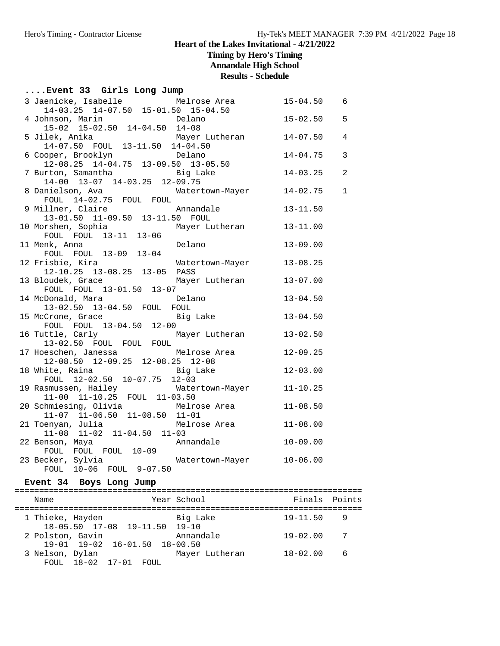**Timing by Hero's Timing**

**Annandale High School**

**Results - Schedule**

## **....Event 33 Girls Long Jump**

| 3 Jaenicke, Isabelle Melrose Area                                            | $15 - 04.50$ | 6              |
|------------------------------------------------------------------------------|--------------|----------------|
| 14-03.25 14-07.50 15-01.50 15-04.50                                          |              |                |
| 4 Johnson, Marin Marchetter Delano                                           | $15 - 02.50$ | 5              |
| 15-02 15-02.50 14-04.50 14-08                                                |              |                |
| Mayer Lutheran<br>5 Jilek, Anika Mayer Lu<br>14-07.50 FOUL 13-11.50 14-04.50 | $14 - 07.50$ | $\overline{4}$ |
|                                                                              |              |                |
| Delano<br>6 Cooper, Brooklyn                                                 | $14 - 04.75$ | $\overline{3}$ |
| $12-08.25$ $14-04.75$ $13-09.50$ $13-05.50$                                  |              |                |
| 7 Burton, Samantha       Big Lake<br>14-00 13-07 14-03.25 12-09.75           | $14 - 03.25$ | 2              |
|                                                                              | $14 - 02.75$ | $\mathbf{1}$   |
| 8 Danielson, Ava Matertown-Mayer<br>FOUL 14-02.75 FOUL FOUL                  |              |                |
|                                                                              |              |                |
| 9 Millner, Claire Annanda:<br>13-01.50 11-09.50 13-11.50 FOUL<br>Annandale   | $13 - 11.50$ |                |
|                                                                              | $13 - 11.00$ |                |
| 10 Morshen, Sophia Mayer Lutheran<br>FOUL FOUL 13-11 13-06                   |              |                |
| 11 Menk, Anna<br>Delano                                                      | $13 - 09.00$ |                |
| FOUL FOUL 13-09 13-04                                                        |              |                |
| Watertown-Mayer<br>12 Frisbie, Kira                                          | $13 - 08.25$ |                |
| 12-10.25 13-08.25 13-05 PASS                                                 |              |                |
| 13 Bloudek, Grace<br>Mayer Lutheran                                          | $13 - 07.00$ |                |
| FOUL FOUL 13-01.50 13-07                                                     |              |                |
| 14 McDonald, Mara<br>Delano                                                  | $13 - 04.50$ |                |
| 13-02.50 13-04.50 FOUL FOUL                                                  |              |                |
|                                                                              | $13 - 04.50$ |                |
| 15 McCrone, Grace Big Lake<br>FOUL FOUL 13-04.50 12-00                       |              |                |
| 16 Tuttle, Carly<br>Mayer Lutheran 13-02.50                                  |              |                |
| 13-02.50 FOUL FOUL FOUL                                                      |              |                |
| 17 Hoeschen, Janessa<br>Melrose Area                                         | $12 - 09.25$ |                |
| 12-08.50 12-09.25 12-08.25 12-08                                             |              |                |
| 18 White, Raina and Big Lake                                                 | $12 - 03.00$ |                |
| FOUL 12-02.50 10-07.75 12-03                                                 |              |                |
| 19 Rasmussen, Hailey Matertown-Mayer<br>11-00 11-10.25 FOUL 11-03.50         | $11 - 10.25$ |                |
|                                                                              |              |                |
| 20 Schmiesing, Olivia Melrose Area                                           | $11 - 08.50$ |                |
| 11-07 11-06.50 11-08.50 11-01                                                |              |                |
| Melrose Area<br>21 Toenyan, Julia                                            | $11 - 08.00$ |                |
| $11-08$ $11-02$ $11-04.50$ $11-03$                                           |              |                |
| Annandale<br>22 Benson, Maya                                                 | $10 - 09.00$ |                |
| FOUL FOUL FOUL 10-09                                                         |              |                |
| 23 Becker, Sylvia<br>Watertown-Mayer 10-06.00                                |              |                |
| FOUL 10-06 FOUL 9-07.50                                                      |              |                |

### **Event 34 Boys Long Jump**

| Name                                              | Year School    | Finals Points |                |
|---------------------------------------------------|----------------|---------------|----------------|
| 1 Thieke, Hayden<br>18-05.50 17-08 19-11.50 19-10 | Big Lake       | $19 - 11.50$  | q              |
| 2 Polston, Gavin<br>19-01 19-02 16-01.50 18-00.50 | Annandale      | $19 - 02.00$  | $\overline{7}$ |
| 3 Nelson, Dylan<br>FOUL 18-02 17-01 FOUL          | Mayer Lutheran | $18 - 02.00$  | - 6            |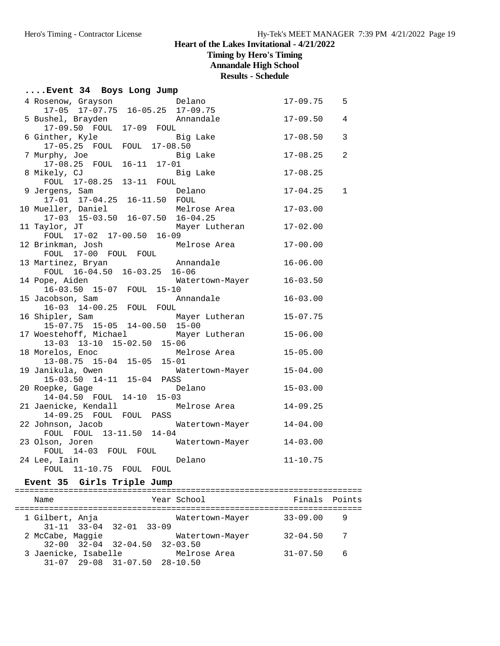**Timing by Hero's Timing**

**Annandale High School**

**Results - Schedule**

## **....Event 34 Boys Long Jump**

| 4 Rosenow, Grayson<br>17-05 17-07.75 16-05.25 17-09.75         | Delano          | $17 - 09.75$ | 5              |
|----------------------------------------------------------------|-----------------|--------------|----------------|
| 5 Bushel, Brayden                                              | Annandale       | $17 - 09.50$ | $\overline{4}$ |
| 17-09.50 FOUL 17-09 FOUL                                       |                 |              |                |
| 6 Ginther, Kyle                                                | Big Lake        | $17 - 08.50$ | 3              |
| 17-05.25 FOUL FOUL 17-08.50                                    |                 |              |                |
| 7 Murphy, Joe                                                  | Big Lake        | $17 - 08.25$ | $\overline{a}$ |
| 17-08.25 FOUL 16-11 17-01                                      |                 |              |                |
| 8 Mikely, CJ                                                   | Big Lake        | $17 - 08.25$ |                |
| FOUL 17-08.25 13-11<br>FOUL                                    |                 |              |                |
| 9 Jergens, Sam                                                 | Delano          | $17 - 04.25$ | $\mathbf{1}$   |
| 17-01 17-04.25 16-11.50 FOUL                                   |                 |              |                |
| 10 Mueller, Daniel Melrose<br>17-03 15-03.50 16-07.50 16-04.25 | Melrose Area    | $17 - 03.00$ |                |
|                                                                |                 |              |                |
| 11 Taylor, JT                                                  | Mayer Lutheran  | $17 - 02.00$ |                |
| FOUL 17-02 17-00.50 16-09                                      |                 |              |                |
| 12 Brinkman, Josh                                              | Melrose Area    | $17 - 00.00$ |                |
| FOUL 17-00 FOUL FOUL                                           |                 |              |                |
| 13 Martinez, Bryan                                             | Annandale       | $16 - 06.00$ |                |
| FOUL 16-04.50 16-03.25 16-06                                   |                 |              |                |
| 14 Pope, Aiden<br>16-03.50 15-07 FOUL 15-10                    | Watertown-Mayer | $16 - 03.50$ |                |
| 15 Jacobson, Sam                                               | Annandale       | $16 - 03.00$ |                |
| 16-03 14-00.25 FOUL FOUL                                       |                 |              |                |
| 16 Shipler, Sam                                                | Mayer Lutheran  | $15 - 07.75$ |                |
| 15-07.75 15-05 14-00.50 15-00                                  |                 |              |                |
| 17 Woestehoff, Michael                                         | Mayer Lutheran  | $15 - 06.00$ |                |
| 13-03 13-10 15-02.50 15-06                                     |                 |              |                |
| 18 Morelos, Enoc                                               | Melrose Area    | $15 - 05.00$ |                |
| 13-08.75 15-04 15-05 15-01                                     |                 |              |                |
| 19 Janikula, Owen                                              | Watertown-Mayer | $15 - 04.00$ |                |
| 15-03.50 14-11 15-04 PASS                                      |                 |              |                |
| 20 Roepke, Gage                                                | Delano          | $15 - 03.00$ |                |
| 14-04.50 FOUL 14-10 15-03                                      |                 |              |                |
| 21 Jaenicke, Kendall                                           | Melrose Area    | $14 - 09.25$ |                |
| 14-09.25 FOUL FOUL PASS                                        |                 |              |                |
| 22 Johnson, Jacob                                              | Watertown-Mayer | $14 - 04.00$ |                |
| FOUL FOUL 13-11.50 14-04                                       |                 |              |                |
| 23 Olson, Joren                                                | Watertown-Mayer | $14 - 03.00$ |                |
| FOUL 14-03 FOUL FOUL                                           |                 |              |                |
| 24 Lee, Iain                                                   | Delano          | $11 - 10.75$ |                |
| FOUL 11-10.75 FOUL<br>FOUL                                     |                 |              |                |

### **Event 35 Girls Triple Jump**

| Name                 |                                                       | Year School     | Finals Points |     |
|----------------------|-------------------------------------------------------|-----------------|---------------|-----|
| 1 Gilbert, Anja      | $31 - 11$ $33 - 04$ $32 - 01$ $33 - 09$               | Watertown-Mayer | $33 - 09.00$  | 9   |
| 2 McCabe, Maggie     | $32 - 00$ $32 - 04$ $32 - 04$ , $50$ $32 - 03$ , $50$ | Watertown-Mayer | $32 - 04.50$  | 7   |
| 3 Jaenicke, Isabelle | $31-07$ $29-08$ $31-07.50$ $28-10.50$                 | Melrose Area    | $31 - 07.50$  | - 6 |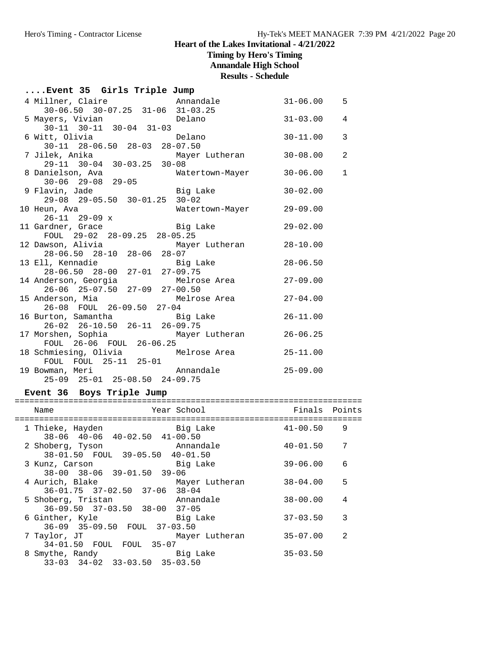**Timing by Hero's Timing**

**Annandale High School**

**Results - Schedule**

| Event 35 Girls Triple Jump |  |  |  |  |
|----------------------------|--|--|--|--|
|----------------------------|--|--|--|--|

| 4 Millner, Claire                                             | Annandale       | $31 - 06.00$ | 5              |
|---------------------------------------------------------------|-----------------|--------------|----------------|
| 30-06.50 30-07.25 31-06 31-03.25<br>5 Mayers, Vivian Delano   |                 |              |                |
|                                                               |                 | $31 - 03.00$ | $\overline{4}$ |
| $30-11$ $30-11$ $30-04$ $31-03$                               |                 |              |                |
| 6 Witt, Olivia and Delano                                     |                 | $30 - 11.00$ | 3              |
| $30-11$ $28-06.50$ $28-03$ $28-07.50$                         |                 |              |                |
| 7 Jilek, Anika                 Mayer Lutheran                 |                 | $30 - 08.00$ | 2              |
| 29-11 30-04 30-03.25 30-08                                    |                 |              |                |
| 8 Danielson, Ava<br>30-06 29-08 29-05                         | Watertown-Mayer | $30 - 06.00$ | $\mathbf{1}$   |
|                                                               |                 |              |                |
| 9 Flavin, Jade                           Big Lake             |                 | $30 - 02.00$ |                |
| 29-08 29-05.50 30-01.25 30-02                                 |                 |              |                |
| 10 Heun, Ava                                                  | Watertown-Mayer | $29 - 09.00$ |                |
| $26-11$ 29-09 x                                               |                 |              |                |
| 11 Gardner, Grace Big Lake                                    |                 | $29 - 02.00$ |                |
| FOUL 29-02 28-09.25 28-05.25                                  |                 |              |                |
| 12 Dawson, Alivia           Mayer Lutheran                    |                 | $28 - 10.00$ |                |
| 28-06.50 28-10 28-06 28-07                                    |                 |              |                |
| 13 Ell, Kennadie aan begin big Lake                           |                 | $28 - 06.50$ |                |
| 28-06.50 28-00 27-01 27-09.75                                 |                 |              |                |
| 14 Anderson, Georgia and Melrose Area and 27-09.00            |                 |              |                |
| $26-06$ $25-07.50$ $27-09$ $27-00.50$                         |                 |              |                |
| 15 Anderson, Mia and Melrose Area                             |                 | $27 - 04.00$ |                |
| 26-08 FOUL 26-09.50 27-04                                     |                 |              |                |
| 16 Burton, Samantha (Big Lake                                 |                 | $26 - 11.00$ |                |
| 26-02 26-10.50 26-11 26-09.75                                 |                 |              |                |
| 17 Morshen, Sophia Mayer Lutheran<br>FOUL 26-06 FOUL 26-06.25 |                 | $26 - 06.25$ |                |
|                                                               |                 |              |                |
| 18 Schmiesing, Olivia Melrose Area                            |                 | $25 - 11.00$ |                |
| FOUL FOUL 25-11 25-01                                         |                 |              |                |
| 19 Bowman, Meri Mannandale                                    |                 | $25 - 09.00$ |                |
| 25-09 25-01 25-08.50 24-09.75                                 |                 |              |                |

## **Event 36 Boys Triple Jump**

| Name                                                        | Year School    | Finals Points |                |
|-------------------------------------------------------------|----------------|---------------|----------------|
| 1 Thieke, Hayden<br>38-06 40-06 40-02.50 41-00.50           | Big Lake       | $41 - 00.50$  | 9              |
| 2 Shoberg, Tyson<br>38-01.50 FOUL 39-05.50 40-01.50         | Annandale      | $40 - 01.50$  | 7              |
| 3 Kunz, Carson<br>38-00 38-06 39-01.50 39-06                | Big Lake       | $39 - 06.00$  | 6              |
| 4 Aurich, Blake<br>36-01.75 37-02.50 37-06 38-04            | Mayer Lutheran | $38 - 04.00$  | 5              |
| 5 Shoberg, Tristan<br>$36-09.50$ $37-03.50$ $38-00$ $37-05$ | Annandale      | $38 - 00.00$  | 4              |
| 6 Ginther, Kyle<br>36-09 35-09.50 FOUL 37-03.50             | Big Lake       | $37 - 03.50$  | 3              |
| 7 Taylor, JT<br>34-01.50 FOUL FOUL 35-07                    | Mayer Lutheran | $35 - 07.00$  | $\mathfrak{D}$ |
| 8 Smythe, Randy<br>$33-03$ $34-02$ $33-03.50$ $35-03.50$    | Big Lake       | $35 - 03.50$  |                |